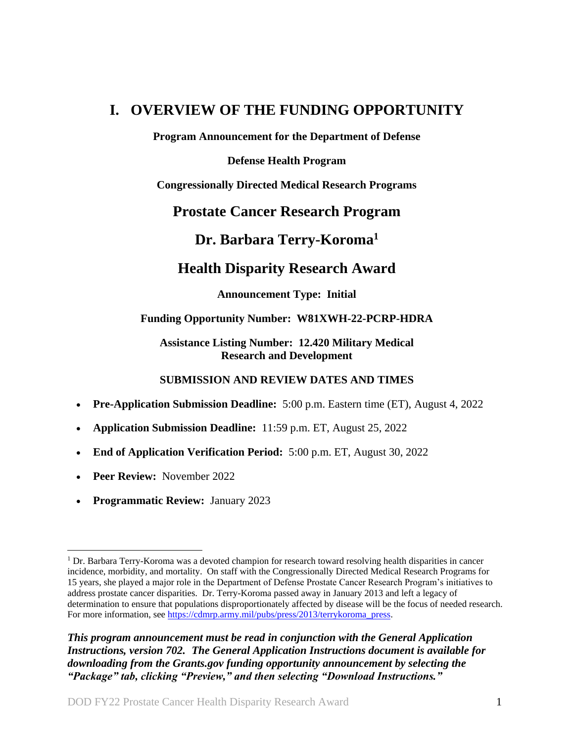# <span id="page-0-0"></span>**I. OVERVIEW OF THE FUNDING OPPORTUNITY**

**Program Announcement for the Department of Defense**

**Defense Health Program**

**Congressionally Directed Medical Research Programs**

## **Prostate Cancer Research Program**

## **Dr. Barbara Terry-Koroma<sup>1</sup>**

# **Health Disparity Research Award**

## **Announcement Type: Initial**

## **Funding Opportunity Number: W81XWH-22-PCRP-HDRA**

## **Assistance Listing Number: 12.420 Military Medical Research and Development**

## **SUBMISSION AND REVIEW DATES AND TIMES**

- <span id="page-0-1"></span>**Pre-Application Submission Deadline:** 5:00 p.m. Eastern time (ET), August 4, 2022
- **Application Submission Deadline:** 11:59 p.m. ET, August 25, 2022
- **End of Application Verification Period:** 5:00 p.m. ET, August 30, 2022
- **Peer Review:** November 2022

 $\overline{a}$ 

**Programmatic Review:** January 2023

*This program announcement must be read in conjunction with the General Application Instructions, version 702.**The General Application Instructions document is available for downloading from the Grants.gov funding opportunity announcement by selecting the "Package" tab, clicking "Preview," and then selecting "Download Instructions."*

<sup>1</sup> Dr. Barbara Terry-Koroma was a devoted champion for research toward resolving health disparities in cancer incidence, morbidity, and mortality. On staff with the Congressionally Directed Medical Research Programs for 15 years, she played a major role in the Department of Defense Prostate Cancer Research Program's initiatives to address prostate cancer disparities. Dr. Terry-Koroma passed away in January 2013 and left a legacy of determination to ensure that populations disproportionately affected by disease will be the focus of needed research. For more information, see [https://cdmrp.army.mil/pubs/press/2013/terrykoroma\\_press.](https://cdmrp.army.mil/pubs/press/2013/terrykoroma_press)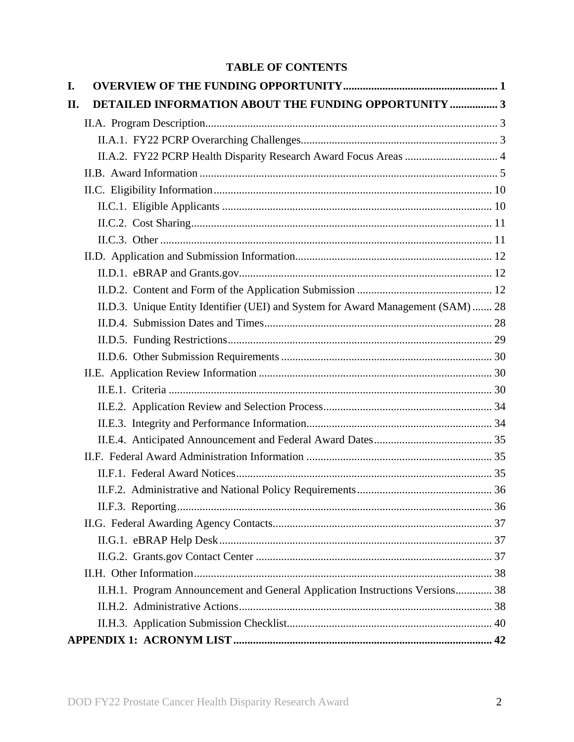## **TABLE OF CONTENTS**

| I.                                                                               |  |
|----------------------------------------------------------------------------------|--|
| DETAILED INFORMATION ABOUT THE FUNDING OPPORTUNITY  3<br>II.                     |  |
|                                                                                  |  |
|                                                                                  |  |
| II.A.2. FY22 PCRP Health Disparity Research Award Focus Areas  4                 |  |
|                                                                                  |  |
|                                                                                  |  |
|                                                                                  |  |
|                                                                                  |  |
|                                                                                  |  |
|                                                                                  |  |
|                                                                                  |  |
|                                                                                  |  |
| II.D.3. Unique Entity Identifier (UEI) and System for Award Management (SAM)  28 |  |
|                                                                                  |  |
|                                                                                  |  |
|                                                                                  |  |
|                                                                                  |  |
|                                                                                  |  |
|                                                                                  |  |
|                                                                                  |  |
|                                                                                  |  |
|                                                                                  |  |
|                                                                                  |  |
|                                                                                  |  |
|                                                                                  |  |
|                                                                                  |  |
|                                                                                  |  |
|                                                                                  |  |
|                                                                                  |  |
| II.H.1. Program Announcement and General Application Instructions Versions 38    |  |
|                                                                                  |  |
|                                                                                  |  |
|                                                                                  |  |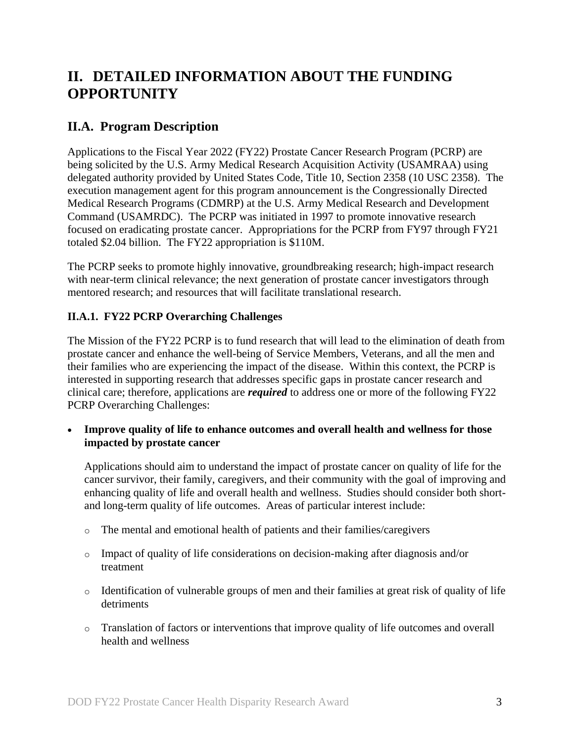# <span id="page-2-0"></span>**II. DETAILED INFORMATION ABOUT THE FUNDING OPPORTUNITY**

## <span id="page-2-1"></span>**II.A. Program Description**

Applications to the Fiscal Year 2022 (FY22) Prostate Cancer Research Program (PCRP) are being solicited by the U.S. Army Medical Research Acquisition Activity (USAMRAA) using delegated authority provided by United States Code, Title 10, Section 2358 (10 USC 2358). The execution management agent for this program announcement is the Congressionally Directed Medical Research Programs (CDMRP) at the U.S. Army Medical Research and Development Command (USAMRDC). The PCRP was initiated in 1997 to promote innovative research focused on eradicating prostate cancer. Appropriations for the PCRP from FY97 through FY21 totaled \$2.04 billion. The FY22 appropriation is \$110M.

The PCRP seeks to promote highly innovative, groundbreaking research; high-impact research with near-term clinical relevance; the next generation of prostate cancer investigators through mentored research; and resources that will facilitate translational research.

## <span id="page-2-3"></span><span id="page-2-2"></span>**II.A.1. FY22 PCRP Overarching Challenges**

The Mission of the FY22 PCRP is to fund research that will lead to the elimination of death from prostate cancer and enhance the well-being of Service Members, Veterans, and all the men and their families who are experiencing the impact of the disease. Within this context, the PCRP is interested in supporting research that addresses specific gaps in prostate cancer research and clinical care; therefore, applications are *required* to address one or more of the following FY22 PCRP Overarching Challenges:

 **Improve quality of life to enhance outcomes and overall health and wellness for those impacted by prostate cancer**

Applications should aim to understand the impact of prostate cancer on quality of life for the cancer survivor, their family, caregivers, and their community with the goal of improving and enhancing quality of life and overall health and wellness. Studies should consider both shortand long-term quality of life outcomes. Areas of particular interest include:

- o The mental and emotional health of patients and their families/caregivers
- o Impact of quality of life considerations on decision-making after diagnosis and/or treatment
- o Identification of vulnerable groups of men and their families at great risk of quality of life detriments
- o Translation of factors or interventions that improve quality of life outcomes and overall health and wellness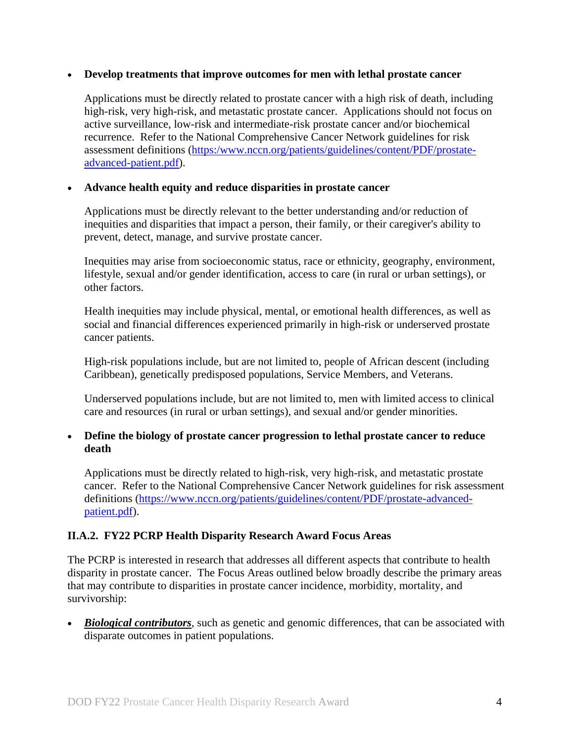#### **Develop treatments that improve outcomes for men with lethal prostate cancer**

Applications must be directly related to prostate cancer with a high risk of death, including high-risk, very high-risk, and metastatic prostate cancer. Applications should not focus on active surveillance, low-risk and intermediate-risk prostate cancer and/or biochemical recurrence. Refer to the National Comprehensive Cancer Network guidelines for risk assessment definitions [\(https:/www.nccn.org/patients/guidelines/content/PDF/prostate](https://www.nccn.org/patients/guidelines/content/PDF/prostate-advanced-patient.pdf)[advanced-patient.pdf\)](https://www.nccn.org/patients/guidelines/content/PDF/prostate-advanced-patient.pdf).

#### **Advance health equity and reduce disparities in prostate cancer**

Applications must be directly relevant to the better understanding and/or reduction of inequities and disparities that impact a person, their family, or their caregiver's ability to prevent, detect, manage, and survive prostate cancer.

Inequities may arise from socioeconomic status, race or ethnicity, geography, environment, lifestyle, sexual and/or gender identification, access to care (in rural or urban settings), or other factors.

Health inequities may include physical, mental, or emotional health differences, as well as social and financial differences experienced primarily in high-risk or underserved prostate cancer patients.

High-risk populations include, but are not limited to, people of African descent (including Caribbean), genetically predisposed populations, Service Members, and Veterans.

Underserved populations include, but are not limited to, men with limited access to clinical care and resources (in rural or urban settings), and sexual and/or gender minorities.

## **Define the biology of prostate cancer progression to lethal prostate cancer to reduce death**

Applications must be directly related to high-risk, very high-risk, and metastatic prostate cancer. Refer to the National Comprehensive Cancer Network guidelines for risk assessment definitions [\(https://www.nccn.org/patients/guidelines/content/PDF/prostate-advanced](https://www.nccn.org/patients/guidelines/content/PDF/prostate-advanced-patient.pdf)[patient.pdf\)](https://www.nccn.org/patients/guidelines/content/PDF/prostate-advanced-patient.pdf).

## <span id="page-3-1"></span><span id="page-3-0"></span>**II.A.2. FY22 PCRP Health Disparity Research Award Focus Areas**

The PCRP is interested in research that addresses all different aspects that contribute to health disparity in prostate cancer. The Focus Areas outlined below broadly describe the primary areas that may contribute to disparities in prostate cancer incidence, morbidity, mortality, and survivorship:

**Biological contributors**, such as genetic and genomic differences, that can be associated with disparate outcomes in patient populations.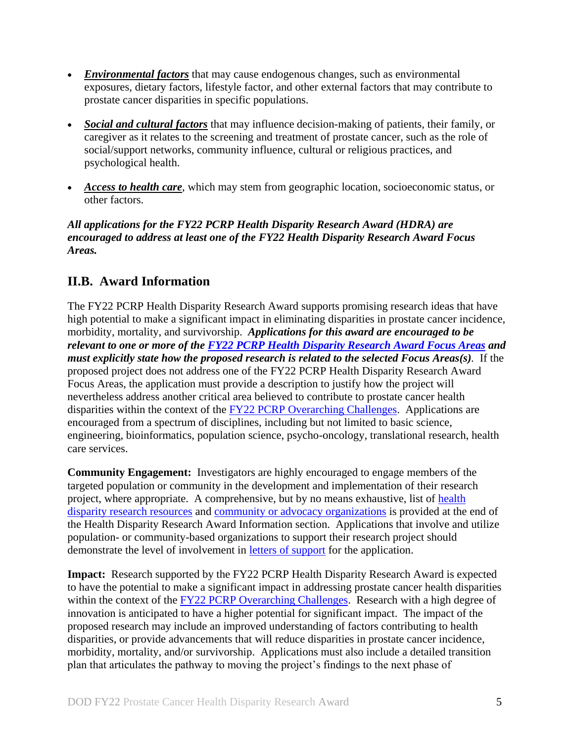- *Environmental factors* that may cause endogenous changes, such as environmental exposures, dietary factors, lifestyle factor, and other external factors that may contribute to prostate cancer disparities in specific populations.
- *Social and cultural factors* that may influence decision-making of patients, their family, or caregiver as it relates to the screening and treatment of prostate cancer, such as the role of social/support networks, community influence, cultural or religious practices, and psychological health.
- *Access to health care*, which may stem from geographic location, socioeconomic status, or other factors.

## *All applications for the FY22 PCRP Health Disparity Research Award (HDRA) are encouraged to address at least one of the FY22 Health Disparity Research Award Focus Areas.*

## <span id="page-4-0"></span>**II.B. Award Information**

The FY22 PCRP Health Disparity Research Award supports promising research ideas that have high potential to make a significant impact in eliminating disparities in prostate cancer incidence, morbidity, mortality, and survivorship. *Applications for this award are encouraged to be relevant to one or more of the FY22 PCRP Health Disparity [Research Award Focus Areas](#page-3-1) and must explicitly state how the proposed research is related to the selected Focus Areas(s).* If the proposed project does not address one of the FY22 PCRP Health Disparity Research Award Focus Areas, the application must provide a description to justify how the project will nevertheless address another critical area believed to contribute to prostate cancer health disparities within the context of the FY22 [PCRP Overarching Challenges.](#page-2-3) Applications are encouraged from a spectrum of disciplines, including but not limited to basic science, engineering, bioinformatics, population science, psycho-oncology, translational research, health care services.

**Community Engagement:** Investigators are highly encouraged to engage members of the targeted population or community in the development and implementation of their research project, where appropriate. A comprehensive, but by no means exhaustive, list of [health](#page-8-0)  [disparity research resources](#page-8-0) and [community or advocacy organizations](#page-9-2) is provided at the end of the Health Disparity Research Award Information section. Applications that involve and utilize population- or community-based organizations to support their research project should demonstrate the level of involvement in [letters of support](#page-20-0) for the application.

**Impact:** Research supported by the FY22 PCRP Health Disparity Research Award is expected to have the potential to make a significant impact in addressing prostate cancer health disparities within the context of the FY22 [PCRP Overarching Challenges.](#page-2-3) Research with a high degree of innovation is anticipated to have a higher potential for significant impact. The impact of the proposed research may include an improved understanding of factors contributing to health disparities, or provide advancements that will reduce disparities in prostate cancer incidence, morbidity, mortality, and/or survivorship. Applications must also include a detailed transition plan that articulates the pathway to moving the project's findings to the next phase of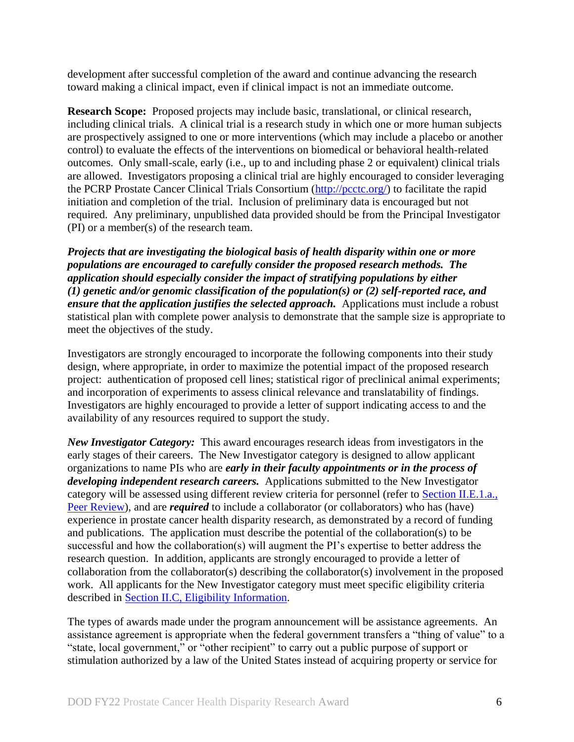development after successful completion of the award and continue advancing the research toward making a clinical impact, even if clinical impact is not an immediate outcome.

**Research Scope:** Proposed projects may include basic, translational, or clinical research, including clinical trials. A clinical trial is a research study in which one or more human subjects are prospectively assigned to one or more interventions (which may include a placebo or another control) to evaluate the effects of the interventions on biomedical or behavioral health-related outcomes. Only small-scale, early (i.e., up to and including phase 2 or equivalent) clinical trials are allowed. Investigators proposing a clinical trial are highly encouraged to consider leveraging the PCRP Prostate Cancer Clinical Trials Consortium [\(http://pcctc.org/\)](http://pcctc.org/) to facilitate the rapid initiation and completion of the trial. Inclusion of preliminary data is encouraged but not required. Any preliminary, unpublished data provided should be from the Principal Investigator (PI) or a member(s) of the research team.

*Projects that are investigating the biological basis of health disparity within one or more populations are encouraged to carefully consider the proposed research methods. The application should especially consider the impact of stratifying populations by either (1) genetic and/or genomic classification of the population(s) or (2) self-reported race, and ensure that the application justifies the selected approach.* Applications must include a robust statistical plan with complete power analysis to demonstrate that the sample size is appropriate to meet the objectives of the study.

Investigators are strongly encouraged to incorporate the following components into their study design, where appropriate, in order to maximize the potential impact of the proposed research project: authentication of proposed cell lines; statistical rigor of preclinical animal experiments; and incorporation of experiments to assess clinical relevance and translatability of findings. Investigators are highly encouraged to provide a letter of support indicating access to and the availability of any resources required to support the study.

*New Investigator Category:* This award encourages research ideas from investigators in the early stages of their careers. The New Investigator category is designed to allow applicant organizations to name PIs who are *early in their faculty appointments or in the process of developing independent research careers.* Applications submitted to the New Investigator category will be assessed using different review criteria for personnel (refer to [Section II.E.1.a.,](#page-29-3)  [Peer Review\)](#page-29-3), and are *required* to include a collaborator (or collaborators) who has (have) experience in prostate cancer health disparity research, as demonstrated by a record of funding and publications. The application must describe the potential of the collaboration(s) to be successful and how the collaboration(s) will augment the PI's expertise to better address the research question. In addition, applicants are strongly encouraged to provide a letter of collaboration from the collaborator(s) describing the collaborator(s) involvement in the proposed work. All applicants for the New Investigator category must meet specific eligibility criteria described in Section [II.C, Eligibility Information.](#page-9-0)

The types of awards made under the program announcement will be assistance agreements. An assistance agreement is appropriate when the federal government transfers a "thing of value" to a "state, local government," or "other recipient" to carry out a public purpose of support or stimulation authorized by a law of the United States instead of acquiring property or service for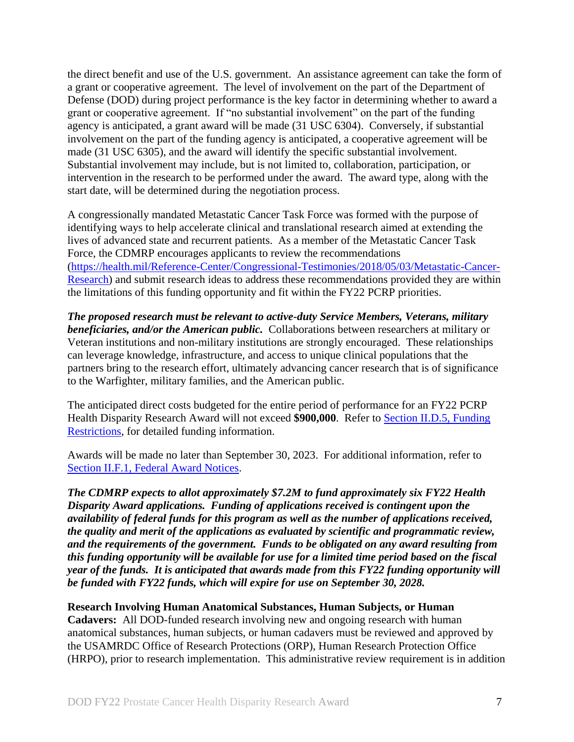the direct benefit and use of the U.S. government. An assistance agreement can take the form of a grant or cooperative agreement. The level of involvement on the part of the Department of Defense (DOD) during project performance is the key factor in determining whether to award a grant or cooperative agreement. If "no substantial involvement" on the part of the funding agency is anticipated, a grant award will be made (31 USC 6304). Conversely, if substantial involvement on the part of the funding agency is anticipated, a cooperative agreement will be made (31 USC 6305), and the award will identify the specific substantial involvement. Substantial involvement may include, but is not limited to, collaboration, participation, or intervention in the research to be performed under the award. The award type, along with the start date, will be determined during the negotiation process.

A congressionally mandated Metastatic Cancer Task Force was formed with the purpose of identifying ways to help accelerate clinical and translational research aimed at extending the lives of advanced state and recurrent patients. As a member of the Metastatic Cancer Task Force, the CDMRP encourages applicants to review the recommendations [\(https://health.mil/Reference-Center/Congressional-Testimonies/2018/05/03/Metastatic-Cancer-](https://health.mil/Reference-Center/Congressional-Testimonies/2018/05/03/Metastatic-Cancer-Research)[Research\)](https://health.mil/Reference-Center/Congressional-Testimonies/2018/05/03/Metastatic-Cancer-Research) and submit research ideas to address these recommendations provided they are within the limitations of this funding opportunity and fit within the FY22 PCRP priorities.

*The proposed research must be relevant to active-duty Service Members, Veterans, military beneficiaries, and/or the American public.* Collaborations between researchers at military or Veteran institutions and non-military institutions are strongly encouraged. These relationships can leverage knowledge, infrastructure, and access to unique clinical populations that the partners bring to the research effort, ultimately advancing cancer research that is of significance to the Warfighter, military families, and the American public.

The anticipated direct costs budgeted for the entire period of performance for an FY22 PCRP Health Disparity Research Award will not exceed **\$900,000**. Refer to Section [II.D.5, Funding](#page-28-0)  [Restrictions,](#page-28-0) for detailed funding information.

Awards will be made no later than September 30, 2023. For additional information, refer to [Section II.F.1, Federal Award Notices.](#page-34-2)

*The CDMRP expects to allot approximately \$7.2M to fund approximately six FY22 Health Disparity Award applications. Funding of applications received is contingent upon the availability of federal funds for this program as well as the number of applications received, the quality and merit of the applications as evaluated by scientific and programmatic review, and the requirements of the government. Funds to be obligated on any award resulting from this funding opportunity will be available for use for a limited time period based on the fiscal year of the funds. It is anticipated that awards made from this FY22 funding opportunity will be funded with FY22 funds, which will expire for use on September 30, 2028.*

#### **Research Involving Human Anatomical Substances, Human Subjects, or Human**

**Cadavers:** All DOD-funded research involving new and ongoing research with human anatomical substances, human subjects, or human cadavers must be reviewed and approved by the USAMRDC Office of Research Protections (ORP), Human Research Protection Office (HRPO), prior to research implementation. This administrative review requirement is in addition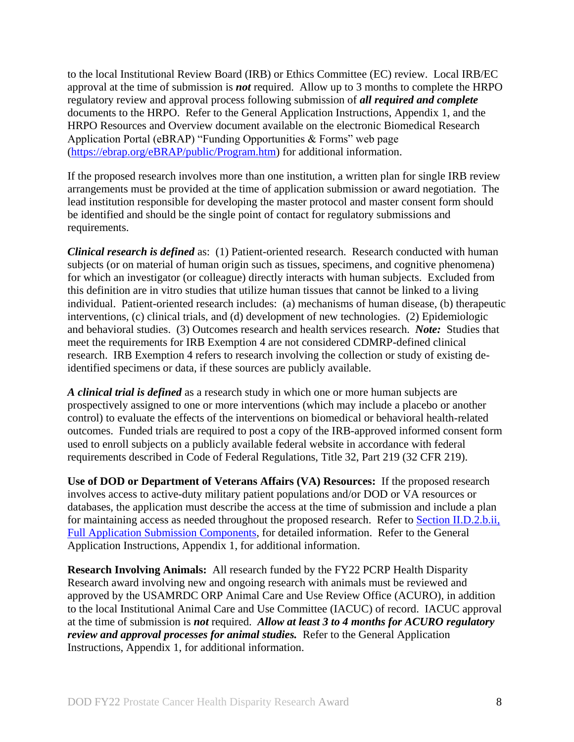to the local Institutional Review Board (IRB) or Ethics Committee (EC) review. Local IRB/EC approval at the time of submission is *not* required. Allow up to 3 months to complete the HRPO regulatory review and approval process following submission of *all required and complete* documents to the HRPO. Refer to the General Application Instructions, Appendix 1, and the HRPO Resources and Overview document available on the electronic Biomedical Research Application Portal (eBRAP) "Funding Opportunities & Forms" web page [\(https://ebrap.org/eBRAP/public/Program.htm\)](https://ebrap.org/eBRAP/public/Program.htm) for additional information.

If the proposed research involves more than one institution, a written plan for single IRB review arrangements must be provided at the time of application submission or award negotiation. The lead institution responsible for developing the master protocol and master consent form should be identified and should be the single point of contact for regulatory submissions and requirements.

*Clinical research is defined* as: (1) Patient-oriented research. Research conducted with human subjects (or on material of human origin such as tissues, specimens, and cognitive phenomena) for which an investigator (or colleague) directly interacts with human subjects. Excluded from this definition are in vitro studies that utilize human tissues that cannot be linked to a living individual. Patient-oriented research includes: (a) mechanisms of human disease, (b) therapeutic interventions, (c) clinical trials, and (d) development of new technologies. (2) Epidemiologic and behavioral studies. (3) Outcomes research and health services research. *Note:* Studies that meet the requirements for IRB Exemption 4 are not considered CDMRP-defined clinical research. IRB Exemption 4 refers to research involving the collection or study of existing deidentified specimens or data, if these sources are publicly available.

*A clinical trial is defined* as a research study in which one or more human subjects are prospectively assigned to one or more interventions (which may include a placebo or another control) to evaluate the effects of the interventions on biomedical or behavioral health-related outcomes. Funded trials are required to post a copy of the IRB-approved informed consent form used to enroll subjects on a publicly available federal website in accordance with federal requirements described in Code of Federal Regulations, Title 32, Part 219 (32 CFR 219).

**Use of DOD or Department of Veterans Affairs (VA) Resources:** If the proposed research involves access to active-duty military patient populations and/or DOD or VA resources or databases, the application must describe the access at the time of submission and include a plan for maintaining access as needed throughout the proposed research. Refer to Section [II.D.2.b.ii,](#page-16-0)  [Full Application Submission Components,](#page-16-0) for detailed information. Refer to the General Application Instructions, Appendix 1, for additional information.

**Research Involving Animals:** All research funded by the FY22 PCRP Health Disparity Research award involving new and ongoing research with animals must be reviewed and approved by the USAMRDC ORP Animal Care and Use Review Office (ACURO), in addition to the local Institutional Animal Care and Use Committee (IACUC) of record. IACUC approval at the time of submission is *not* required. *Allow at least 3 to 4 months for ACURO regulatory review and approval processes for animal studies.* Refer to the General Application Instructions, Appendix 1, for additional information.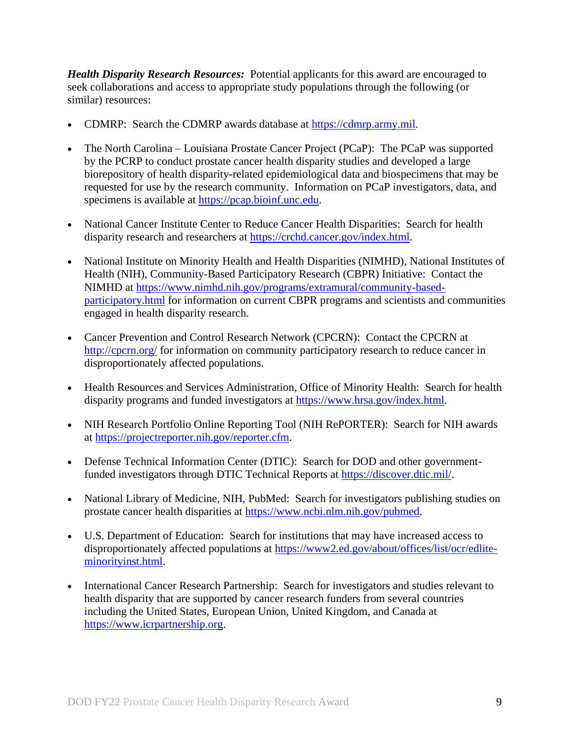<span id="page-8-0"></span>*Health Disparity Research Resources:* Potential applicants for this award are encouraged to seek collaborations and access to appropriate study populations through the following (or similar) resources:

- CDMRP: Search the CDMRP awards database at [https://cdmrp.army.mil.](https://cdmrp.army.mil/)
- The North Carolina Louisiana Prostate Cancer Project (PCaP): The PCaP was supported by the PCRP to conduct prostate cancer health disparity studies and developed a large biorepository of health disparity-related epidemiological data and biospecimens that may be requested for use by the research community. Information on PCaP investigators, data, and specimens is available at [https://pcap.bioinf.unc.edu.](https://pcap.bioinf.unc.edu/)
- National Cancer Institute Center to Reduce Cancer Health Disparities: Search for health disparity research and researchers at [https://crchd.cancer.gov/index.html.](https://crchd.cancer.gov/index.html)
- National Institute on Minority Health and Health Disparities (NIMHD), National Institutes of Health (NIH), Community-Based Participatory Research (CBPR) Initiative: Contact the NIMHD at [https://www.nimhd.nih.gov/programs/extramural/community-based](https://www.nimhd.nih.gov/programs/extramural/community-based-participatory.html)[participatory.html](https://www.nimhd.nih.gov/programs/extramural/community-based-participatory.html) for information on current CBPR programs and scientists and communities engaged in health disparity research.
- Cancer Prevention and Control Research Network (CPCRN): Contact the CPCRN at <http://cpcrn.org/> for information on community participatory research to reduce cancer in disproportionately affected populations.
- Health Resources and Services Administration, Office of Minority Health: Search for health disparity programs and funded investigators at [https://www.hrsa.gov/index.html.](https://www.hrsa.gov/index.html)
- NIH Research Portfolio Online Reporting Tool (NIH RePORTER): Search for NIH awards at [https://projectreporter.nih.gov/reporter.cfm.](https://projectreporter.nih.gov/reporter.cfm)
- Defense Technical Information Center (DTIC): Search for DOD and other governmentfunded investigators through DTIC Technical Reports at [https://discover.dtic.mil/.](https://discover.dtic.mil/)
- National Library of Medicine, NIH, PubMed: Search for investigators publishing studies on prostate cancer health disparities at [https://www.ncbi.nlm.nih.gov/pubmed.](https://www.ncbi.nlm.nih.gov/pubmed)
- U.S. Department of Education: Search for institutions that may have increased access to disproportionately affected populations at [https://www2.ed.gov/about/offices/list/ocr/edlite](https://www2.ed.gov/about/offices/list/ocr/edlite-minorityinst.html)[minorityinst.html.](https://www2.ed.gov/about/offices/list/ocr/edlite-minorityinst.html)
- International Cancer Research Partnership: Search for investigators and studies relevant to health disparity that are supported by cancer research funders from several countries including the United States, European Union, United Kingdom, and Canada at [https://www.icrpartnership.org.](https://www.icrpartnership.org/)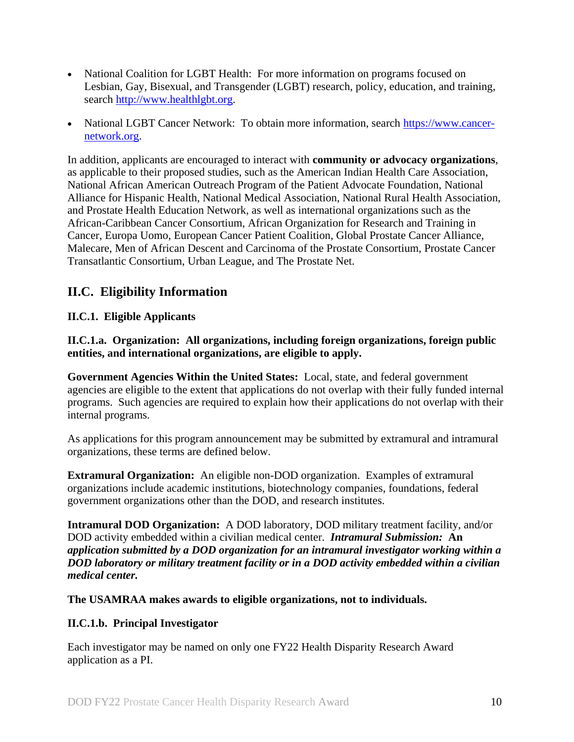- National Coalition for LGBT Health: For more information on programs focused on Lesbian, Gay, Bisexual, and Transgender (LGBT) research, policy, education, and training, search [http://www.healthlgbt.org.](http://www.healthlgbt.org/)
- National LGBT Cancer Network: To obtain more information, search [https://www.cancer](https://www.cancer-network.org/)[network.org.](https://www.cancer-network.org/)

<span id="page-9-2"></span>In addition, applicants are encouraged to interact with **community or advocacy organizations**, as applicable to their proposed studies, such as the American Indian Health Care Association, National African American Outreach Program of the Patient Advocate Foundation, National Alliance for Hispanic Health, National Medical Association, National Rural Health Association, and Prostate Health Education Network, as well as international organizations such as the African-Caribbean Cancer Consortium, African Organization for Research and Training in Cancer, Europa Uomo, European Cancer Patient Coalition, Global Prostate Cancer Alliance, Malecare, Men of African Descent and Carcinoma of the Prostate Consortium, Prostate Cancer Transatlantic Consortium, Urban League, and The Prostate Net.

## <span id="page-9-0"></span>**II.C. Eligibility Information**

## <span id="page-9-1"></span>**II.C.1. Eligible Applicants**

**II.C.1.a. Organization: All organizations, including foreign organizations, foreign public entities, and international organizations, are eligible to apply.** 

**Government Agencies Within the United States:** Local, state, and federal government agencies are eligible to the extent that applications do not overlap with their fully funded internal programs. Such agencies are required to explain how their applications do not overlap with their internal programs.

As applications for this program announcement may be submitted by extramural and intramural organizations, these terms are defined below.

**Extramural Organization:** An eligible non-DOD organization. Examples of extramural organizations include academic institutions, biotechnology companies, foundations, federal government organizations other than the DOD, and research institutes.

**Intramural DOD Organization:** A DOD laboratory, DOD military treatment facility, and/or DOD activity embedded within a civilian medical center. *Intramural Submission:* **An**  *application submitted by a DOD organization for an intramural investigator working within a DOD laboratory or military treatment facility or in a DOD activity embedded within a civilian medical center.*

**The USAMRAA makes awards to eligible organizations, not to individuals.**

## **II.C.1.b. Principal Investigator**

Each investigator may be named on only one FY22 Health Disparity Research Award application as a PI.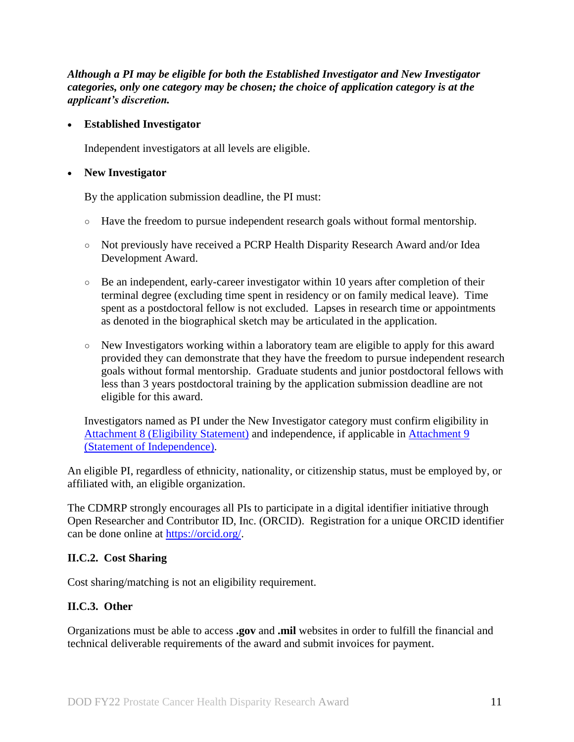*Although a PI may be eligible for both the Established Investigator and New Investigator categories, only one category may be chosen; the choice of application category is at the applicant's discretion.* 

#### **Established Investigator**

Independent investigators at all levels are eligible.

#### **New Investigator**

By the application submission deadline, the PI must:

- Have the freedom to pursue independent research goals without formal mentorship.
- Not previously have received a PCRP Health Disparity Research Award and/or Idea Development Award.
- Be an independent, early-career investigator within 10 years after completion of their terminal degree (excluding time spent in residency or on family medical leave). Time spent as a postdoctoral fellow is not excluded. Lapses in research time or appointments as denoted in the biographical sketch may be articulated in the application.
- New Investigators working within a laboratory team are eligible to apply for this award provided they can demonstrate that they have the freedom to pursue independent research goals without formal mentorship. Graduate students and junior postdoctoral fellows with less than 3 years postdoctoral training by the application submission deadline are not eligible for this award.

Investigators named as PI under the New Investigator category must confirm eligibility in Attachment 8 [\(Eligibility Statement\)](#page-24-0) and independence, if applicable in [Attachment 9](#page-24-1)  [\(Statement of Independence\).](#page-24-1)

An eligible PI, regardless of ethnicity, nationality, or citizenship status, must be employed by, or affiliated with, an eligible organization.

The CDMRP strongly encourages all PIs to participate in a digital identifier initiative through Open Researcher and Contributor ID, Inc. (ORCID). Registration for a unique ORCID identifier can be done online at [https://orcid.org/.](https://orcid.org/)

## <span id="page-10-0"></span>**II.C.2. Cost Sharing**

Cost sharing/matching is not an eligibility requirement.

## <span id="page-10-1"></span>**II.C.3. Other**

Organizations must be able to access **.gov** and **.mil** websites in order to fulfill the financial and technical deliverable requirements of the award and submit invoices for payment.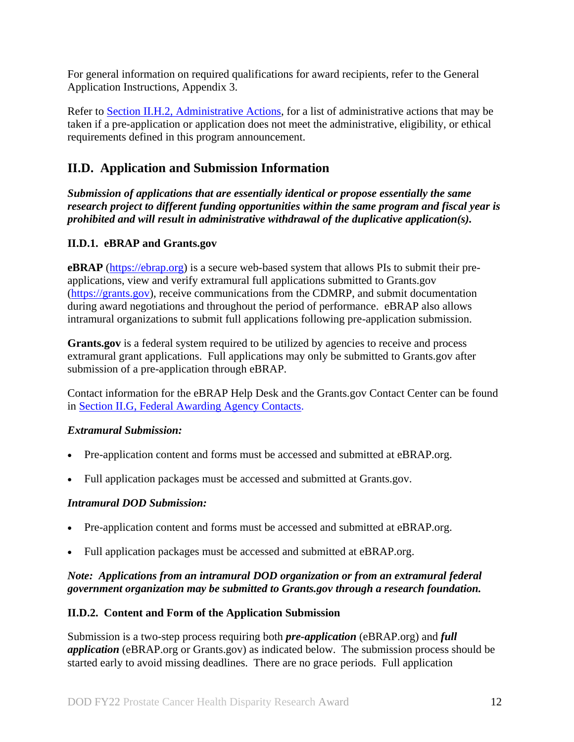For general information on required qualifications for award recipients, refer to the General Application Instructions, Appendix 3.

Refer to [Section II.H.2, Administrative Actions,](#page-37-2) for a list of administrative actions that may be taken if a pre-application or application does not meet the administrative, eligibility, or ethical requirements defined in this program announcement.

## <span id="page-11-0"></span>**II.D. Application and Submission Information**

*Submission of applications that are essentially identical or propose essentially the same research project to different funding opportunities within the same program and fiscal year is prohibited and will result in administrative withdrawal of the duplicative application(s).*

## <span id="page-11-1"></span>**II.D.1. eBRAP and Grants.gov**

**eBRAP** [\(https://ebrap.org\)](https://ebrap.org/) is a secure web-based system that allows PIs to submit their preapplications, view and verify extramural full applications submitted to Grants.gov [\(https://grants.gov\)](https://grants.gov/), receive communications from the CDMRP, and submit documentation during award negotiations and throughout the period of performance. eBRAP also allows intramural organizations to submit full applications following pre-application submission.

**Grants.gov** is a federal system required to be utilized by agencies to receive and process extramural grant applications. Full applications may only be submitted to Grants.gov after submission of a pre-application through eBRAP.

Contact information for the eBRAP Help Desk and the Grants.gov Contact Center can be found in [Section II.G, Federal Awarding Agency Contacts.](#page-36-0)

## *Extramural Submission:*

- Pre-application content and forms must be accessed and submitted at eBRAP.org.
- Full application packages must be accessed and submitted at Grants.gov.

## *Intramural DOD Submission:*

- Pre-application content and forms must be accessed and submitted at eBRAP.org.
- Full application packages must be accessed and submitted at eBRAP.org.

## *Note: Applications from an intramural DOD organization or from an extramural federal government organization may be submitted to Grants.gov through a research foundation.*

## <span id="page-11-2"></span>**II.D.2. Content and Form of the Application Submission**

Submission is a two-step process requiring both *pre-application* (eBRAP.org) and *full application* (eBRAP.org or Grants.gov) as indicated below. The submission process should be started early to avoid missing deadlines. There are no grace periods. Full application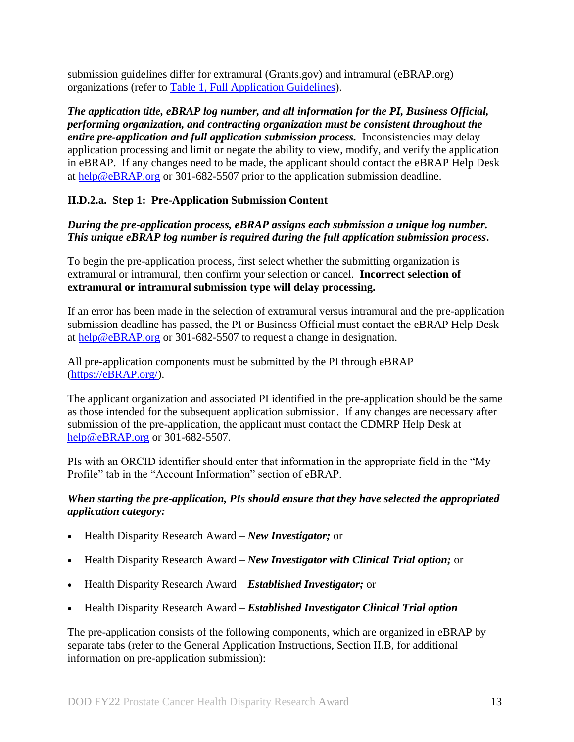submission guidelines differ for extramural (Grants.gov) and intramural (eBRAP.org) organizations (refer to [Table 1, Full Application Guidelines\)](#page-14-0).

*The application title, eBRAP log number, and all information for the PI, Business Official, performing organization, and contracting organization must be consistent throughout the entire pre-application and full application submission process.* Inconsistencies may delay application processing and limit or negate the ability to view, modify, and verify the application in eBRAP. If any changes need to be made, the applicant should contact the eBRAP Help Desk at [help@eBRAP.org](mailto:help@eBRAP.org) or 301-682-5507 prior to the application submission deadline.

## **II.D.2.a. Step 1: Pre-Application Submission Content**

### *During the pre-application process, eBRAP assigns each submission a unique log number. This unique eBRAP log number is required during the full application submission process***.**

To begin the pre-application process, first select whether the submitting organization is extramural or intramural, then confirm your selection or cancel. **Incorrect selection of extramural or intramural submission type will delay processing.**

If an error has been made in the selection of extramural versus intramural and the pre-application submission deadline has passed, the PI or Business Official must contact the eBRAP Help Desk at [help@eBRAP.org](mailto:help@eBRAP.org) or 301-682-5507 to request a change in designation.

All pre-application components must be submitted by the PI through eBRAP [\(https://eBRAP.org/\)](https://ebrap.org/).

The applicant organization and associated PI identified in the pre-application should be the same as those intended for the subsequent application submission. If any changes are necessary after submission of the pre-application, the applicant must contact the CDMRP Help Desk at [help@eBRAP.org](mailto:help@eBRAP.org) or 301-682-5507.

PIs with an ORCID identifier should enter that information in the appropriate field in the "My Profile" tab in the "Account Information" section of eBRAP.

#### *When starting the pre-application, PIs should ensure that they have selected the appropriated application category:*

- Health Disparity Research Award *New Investigator;* or
- Health Disparity Research Award *New Investigator with Clinical Trial option;* or
- Health Disparity Research Award *Established Investigator;* or
- Health Disparity Research Award *Established Investigator Clinical Trial option*

The pre-application consists of the following components, which are organized in eBRAP by separate tabs (refer to the General Application Instructions, Section II.B, for additional information on pre-application submission):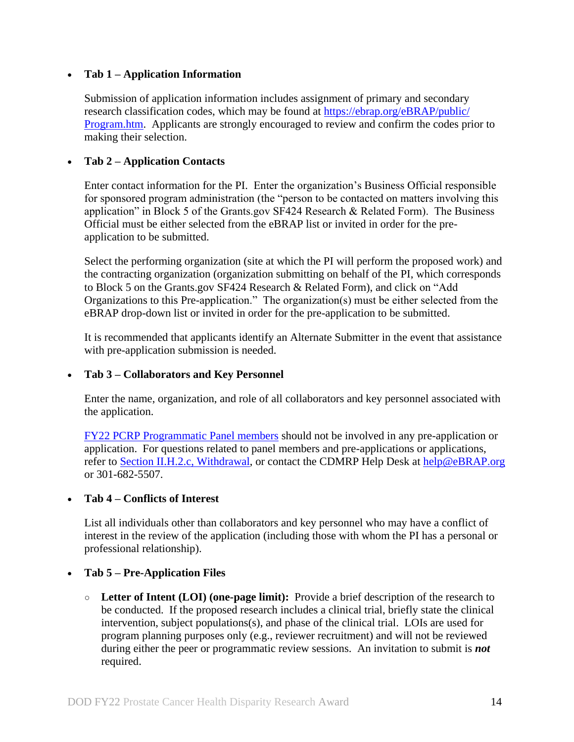### **Tab 1 – Application Information**

Submission of application information includes assignment of primary and secondary research classification codes, which may be found at [https://ebrap.org/eBRAP/public/](https://ebrap.org/eBRAP/public/Program.htm) [Program.htm.](https://ebrap.org/eBRAP/public/Program.htm) Applicants are strongly encouraged to review and confirm the codes prior to making their selection.

#### **Tab 2 – Application Contacts**

Enter contact information for the PI. Enter the organization's Business Official responsible for sponsored program administration (the "person to be contacted on matters involving this application" in Block 5 of the Grants.gov SF424 Research & Related Form). The Business Official must be either selected from the eBRAP list or invited in order for the preapplication to be submitted.

Select the performing organization (site at which the PI will perform the proposed work) and the contracting organization (organization submitting on behalf of the PI, which corresponds to Block 5 on the Grants.gov SF424 Research & Related Form), and click on "Add Organizations to this Pre-application." The organization(s) must be either selected from the eBRAP drop-down list or invited in order for the pre-application to be submitted.

It is recommended that applicants identify an Alternate Submitter in the event that assistance with pre-application submission is needed.

#### **Tab 3 – Collaborators and Key Personnel**

Enter the name, organization, and role of all collaborators and key personnel associated with the application.

[FY22 PCRP Programmatic Panel members](https://cdmrp.army.mil/pcrp/panels/panel22) should not be involved in any pre-application or application. For questions related to panel members and pre-applications or applications, refer to [Section II.H.2.c, Withdrawal,](#page-38-0) or contact the CDMRP Help Desk at [help@eBRAP.org](mailto:help@eBRAP.org) or 301-682-5507.

#### **Tab 4 – Conflicts of Interest**

List all individuals other than collaborators and key personnel who may have a conflict of interest in the review of the application (including those with whom the PI has a personal or professional relationship).

#### **Tab 5 – Pre-Application Files**

○ **Letter of Intent (LOI) (one-page limit):** Provide a brief description of the research to be conducted. If the proposed research includes a clinical trial, briefly state the clinical intervention, subject populations(s), and phase of the clinical trial. LOIs are used for program planning purposes only (e.g., reviewer recruitment) and will not be reviewed during either the peer or programmatic review sessions. An invitation to submit is *not* required.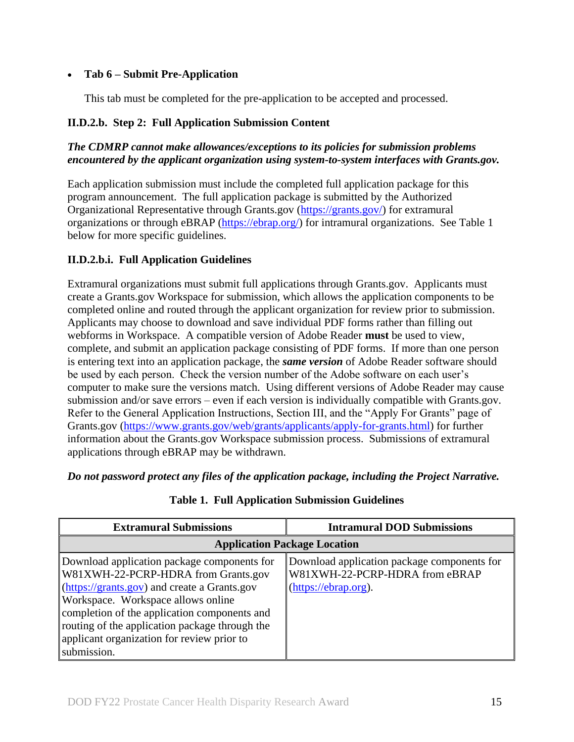## **Tab 6 – Submit Pre-Application**

This tab must be completed for the pre-application to be accepted and processed.

## **II.D.2.b. Step 2: Full Application Submission Content**

## *The CDMRP cannot make allowances/exceptions to its policies for submission problems encountered by the applicant organization using system-to-system interfaces with Grants.gov.*

Each application submission must include the completed full application package for this program announcement. The full application package is submitted by the Authorized Organizational Representative through Grants.gov [\(https://grants.gov/\)](https://www.grants.gov/) for extramural organizations or through eBRAP [\(https://ebrap.org/\)](https://ebrap.org/) for intramural organizations. See Table 1 below for more specific guidelines.

## **II.D.2.b.i. Full Application Guidelines**

Extramural organizations must submit full applications through Grants.gov. Applicants must create a Grants.gov Workspace for submission, which allows the application components to be completed online and routed through the applicant organization for review prior to submission. Applicants may choose to download and save individual PDF forms rather than filling out webforms in Workspace. A compatible version of Adobe Reader **must** be used to view, complete, and submit an application package consisting of PDF forms. If more than one person is entering text into an application package, the *same version* of Adobe Reader software should be used by each person. Check the version number of the Adobe software on each user's computer to make sure the versions match. Using different versions of Adobe Reader may cause submission and/or save errors – even if each version is individually compatible with Grants.gov. Refer to the General Application Instructions, Section III, and the "Apply For Grants" page of Grants.gov [\(https://www.grants.gov/web/grants/applicants/apply-for-grants.html\)](https://www.grants.gov/web/grants/applicants/apply-for-grants.html) for further information about the Grants.gov Workspace submission process. Submissions of extramural applications through eBRAP may be withdrawn.

<span id="page-14-0"></span>*Do not password protect any files of the application package, including the Project Narrative.*

| <b>Extramural Submissions</b>                                                                                                                                                                                                                                                                                                           | <b>Intramural DOD Submissions</b>                                                                                                   |  |
|-----------------------------------------------------------------------------------------------------------------------------------------------------------------------------------------------------------------------------------------------------------------------------------------------------------------------------------------|-------------------------------------------------------------------------------------------------------------------------------------|--|
| <b>Application Package Location</b>                                                                                                                                                                                                                                                                                                     |                                                                                                                                     |  |
| Download application package components for<br>W81XWH-22-PCRP-HDRA from Grants.gov<br>(https://grants.gov) and create a Grants.gov<br>Workspace. Workspace allows online<br>completion of the application components and<br>routing of the application package through the<br>applicant organization for review prior to<br>submission. | Download application package components for<br>W81XWH-22-PCRP-HDRA from eBRAP<br>$(\frac{https://ebrap.org)}{https://ebrap.org)}$ . |  |

## **Table 1. Full Application Submission Guidelines**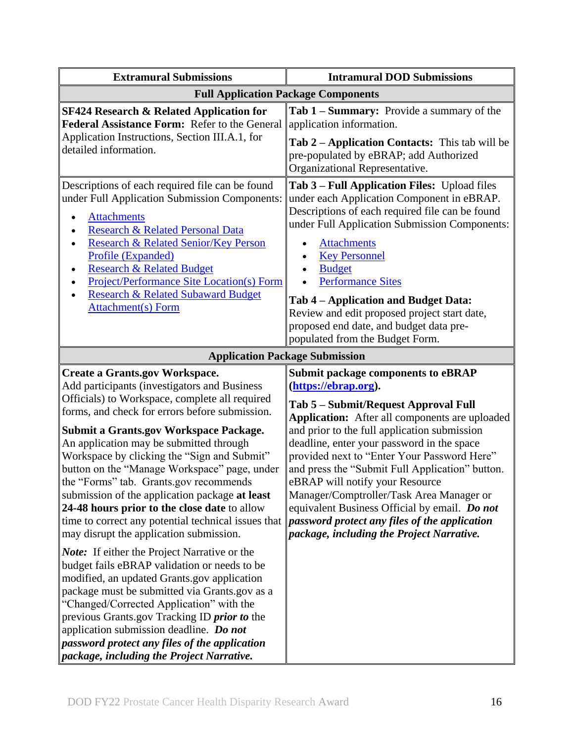| <b>Extramural Submissions</b>                                                                                                                                                                                                                                                                                                                                                                                                                                                                                                                                                                                                                                                                                                                                                                                                                                                                                                                                                           | <b>Intramural DOD Submissions</b>                                                                                                                                                                                                                                                                                                                                                                                                                                                                                                                                                         |
|-----------------------------------------------------------------------------------------------------------------------------------------------------------------------------------------------------------------------------------------------------------------------------------------------------------------------------------------------------------------------------------------------------------------------------------------------------------------------------------------------------------------------------------------------------------------------------------------------------------------------------------------------------------------------------------------------------------------------------------------------------------------------------------------------------------------------------------------------------------------------------------------------------------------------------------------------------------------------------------------|-------------------------------------------------------------------------------------------------------------------------------------------------------------------------------------------------------------------------------------------------------------------------------------------------------------------------------------------------------------------------------------------------------------------------------------------------------------------------------------------------------------------------------------------------------------------------------------------|
| <b>Full Application Package Components</b>                                                                                                                                                                                                                                                                                                                                                                                                                                                                                                                                                                                                                                                                                                                                                                                                                                                                                                                                              |                                                                                                                                                                                                                                                                                                                                                                                                                                                                                                                                                                                           |
| <b>SF424 Research &amp; Related Application for</b><br>Federal Assistance Form: Refer to the General<br>Application Instructions, Section III.A.1, for<br>detailed information.                                                                                                                                                                                                                                                                                                                                                                                                                                                                                                                                                                                                                                                                                                                                                                                                         | Tab 1 - Summary: Provide a summary of the<br>application information.<br>Tab 2 – Application Contacts: This tab will be<br>pre-populated by eBRAP; add Authorized<br>Organizational Representative.                                                                                                                                                                                                                                                                                                                                                                                       |
| Descriptions of each required file can be found<br>under Full Application Submission Components:<br><b>Attachments</b><br>$\bullet$<br>Research & Related Personal Data<br>Research & Related Senior/Key Person<br>Profile (Expanded)<br><b>Research &amp; Related Budget</b><br>٠<br><b>Project/Performance Site Location(s) Form</b><br><b>Research &amp; Related Subaward Budget</b><br>Attachment(s) Form                                                                                                                                                                                                                                                                                                                                                                                                                                                                                                                                                                           | Tab 3 – Full Application Files: Upload files<br>under each Application Component in eBRAP.<br>Descriptions of each required file can be found<br>under Full Application Submission Components:<br><b>Attachments</b><br><b>Key Personnel</b><br><b>Budget</b><br><b>Performance Sites</b><br>Tab 4 - Application and Budget Data:<br>Review and edit proposed project start date,                                                                                                                                                                                                         |
|                                                                                                                                                                                                                                                                                                                                                                                                                                                                                                                                                                                                                                                                                                                                                                                                                                                                                                                                                                                         | proposed end date, and budget data pre-<br>populated from the Budget Form.                                                                                                                                                                                                                                                                                                                                                                                                                                                                                                                |
|                                                                                                                                                                                                                                                                                                                                                                                                                                                                                                                                                                                                                                                                                                                                                                                                                                                                                                                                                                                         | <b>Application Package Submission</b>                                                                                                                                                                                                                                                                                                                                                                                                                                                                                                                                                     |
| <b>Create a Grants.gov Workspace.</b><br>Add participants (investigators and Business<br>Officials) to Workspace, complete all required<br>forms, and check for errors before submission.<br><b>Submit a Grants.gov Workspace Package.</b><br>An application may be submitted through<br>Workspace by clicking the "Sign and Submit"<br>button on the "Manage Workspace" page, under<br>the "Forms" tab. Grants.gov recommends<br>submission of the application package at least<br>24-48 hours prior to the close date to allow<br>time to correct any potential technical issues that<br>may disrupt the application submission.<br><b>Note:</b> If either the Project Narrative or the<br>budget fails eBRAP validation or needs to be<br>modified, an updated Grants.gov application<br>package must be submitted via Grants.gov as a<br>"Changed/Corrected Application" with the<br>previous Grants.gov Tracking ID <i>prior to</i> the<br>application submission deadline. Do not | <b>Submit package components to eBRAP</b><br>(https://ebrap.org).<br>Tab 5 – Submit/Request Approval Full<br>Application: After all components are uploaded<br>and prior to the full application submission<br>deadline, enter your password in the space<br>provided next to "Enter Your Password Here"<br>and press the "Submit Full Application" button.<br>eBRAP will notify your Resource<br>Manager/Comptroller/Task Area Manager or<br>equivalent Business Official by email. Do not<br>password protect any files of the application<br>package, including the Project Narrative. |
| password protect any files of the application<br>package, including the Project Narrative.                                                                                                                                                                                                                                                                                                                                                                                                                                                                                                                                                                                                                                                                                                                                                                                                                                                                                              |                                                                                                                                                                                                                                                                                                                                                                                                                                                                                                                                                                                           |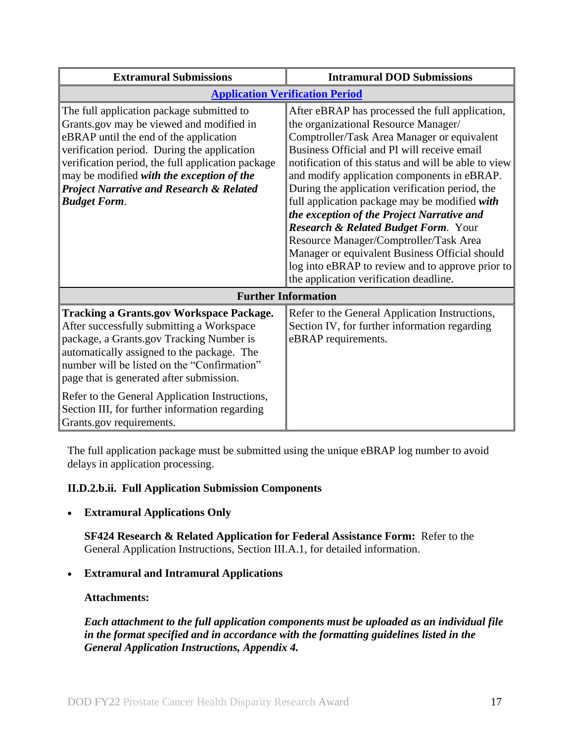| <b>Extramural Submissions</b>                                                                                                                                                                                                                                                                                                                                                                                     | <b>Intramural DOD Submissions</b>                                                                                                                                                                                                                                                                                                                                                                                                                                                                                                                                                                                                                                                           |
|-------------------------------------------------------------------------------------------------------------------------------------------------------------------------------------------------------------------------------------------------------------------------------------------------------------------------------------------------------------------------------------------------------------------|---------------------------------------------------------------------------------------------------------------------------------------------------------------------------------------------------------------------------------------------------------------------------------------------------------------------------------------------------------------------------------------------------------------------------------------------------------------------------------------------------------------------------------------------------------------------------------------------------------------------------------------------------------------------------------------------|
|                                                                                                                                                                                                                                                                                                                                                                                                                   | <b>Application Verification Period</b>                                                                                                                                                                                                                                                                                                                                                                                                                                                                                                                                                                                                                                                      |
| The full application package submitted to<br>Grants.gov may be viewed and modified in<br>eBRAP until the end of the application<br>verification period. During the application<br>verification period, the full application package<br>may be modified with the exception of the<br><b>Project Narrative and Research &amp; Related</b><br><b>Budget Form.</b>                                                    | After eBRAP has processed the full application,<br>the organizational Resource Manager/<br>Comptroller/Task Area Manager or equivalent<br>Business Official and PI will receive email<br>notification of this status and will be able to view<br>and modify application components in eBRAP.<br>During the application verification period, the<br>full application package may be modified with<br>the exception of the Project Narrative and<br><b>Research &amp; Related Budget Form. Your</b><br>Resource Manager/Comptroller/Task Area<br>Manager or equivalent Business Official should<br>log into eBRAP to review and to approve prior to<br>the application verification deadline. |
| <b>Further Information</b>                                                                                                                                                                                                                                                                                                                                                                                        |                                                                                                                                                                                                                                                                                                                                                                                                                                                                                                                                                                                                                                                                                             |
| <b>Tracking a Grants.gov Workspace Package.</b><br>After successfully submitting a Workspace<br>package, a Grants.gov Tracking Number is<br>automatically assigned to the package. The<br>number will be listed on the "Confirmation"<br>page that is generated after submission.<br>Refer to the General Application Instructions,<br>Section III, for further information regarding<br>Grants.gov requirements. | Refer to the General Application Instructions,<br>Section IV, for further information regarding<br>eBRAP requirements.                                                                                                                                                                                                                                                                                                                                                                                                                                                                                                                                                                      |

The full application package must be submitted using the unique eBRAP log number to avoid delays in application processing.

## <span id="page-16-0"></span>**II.D.2.b.ii. Full Application Submission Components**

## **Extramural Applications Only**

**SF424 Research & Related Application for Federal Assistance Form:** Refer to the General Application Instructions, Section III.A.1, for detailed information.

## **Extramural and Intramural Applications**

## <span id="page-16-1"></span>**Attachments:**

*Each attachment to the full application components must be uploaded as an individual file in the format specified and in accordance with the formatting guidelines listed in the General Application Instructions, Appendix 4.*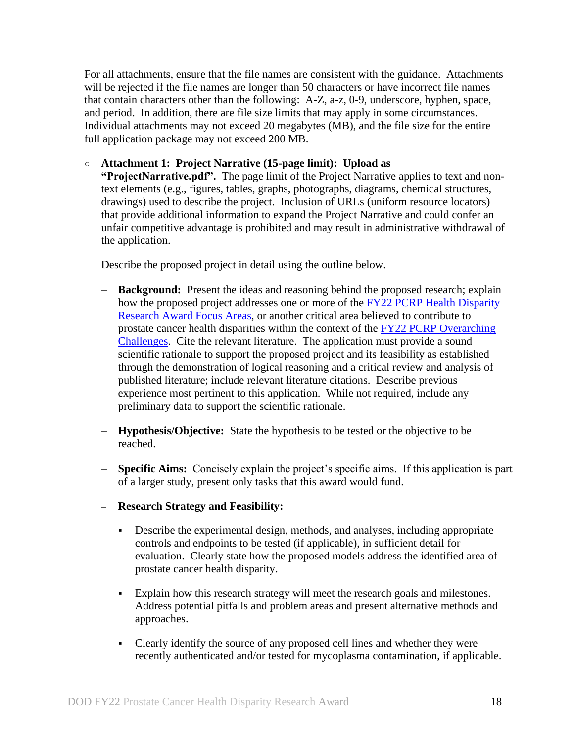For all attachments, ensure that the file names are consistent with the guidance. Attachments will be rejected if the file names are longer than 50 characters or have incorrect file names that contain characters other than the following: A-Z, a-z, 0-9, underscore, hyphen, space, and period. In addition, there are file size limits that may apply in some circumstances. Individual attachments may not exceed 20 megabytes (MB), and the file size for the entire full application package may not exceed 200 MB.

#### ○ **Attachment 1: Project Narrative (15-page limit): Upload as**

**"ProjectNarrative.pdf".** The page limit of the Project Narrative applies to text and nontext elements (e.g., figures, tables, graphs, photographs, diagrams, chemical structures, drawings) used to describe the project. Inclusion of URLs (uniform resource locators) that provide additional information to expand the Project Narrative and could confer an unfair competitive advantage is prohibited and may result in administrative withdrawal of the application.

Describe the proposed project in detail using the outline below.

- **Background:** Present the ideas and reasoning behind the proposed research; explain how the proposed project addresses one or more of the FY22 PCRP Health Disparity [Research Award Focus Areas,](#page-3-1) or another critical area believed to contribute to prostate cancer health disparities within the context of the [FY22 PCRP Overarching](#page-2-3)  [Challenges.](#page-2-3) Cite the relevant literature. The application must provide a sound scientific rationale to support the proposed project and its feasibility as established through the demonstration of logical reasoning and a critical review and analysis of published literature; include relevant literature citations. Describe previous experience most pertinent to this application. While not required, include any preliminary data to support the scientific rationale.
- **Hypothesis/Objective:** State the hypothesis to be tested or the objective to be reached.
- **Specific Aims:** Concisely explain the project's specific aims. If this application is part of a larger study, present only tasks that this award would fund.
- **Research Strategy and Feasibility:** 
	- Describe the experimental design, methods, and analyses, including appropriate controls and endpoints to be tested (if applicable), in sufficient detail for evaluation. Clearly state how the proposed models address the identified area of prostate cancer health disparity.
	- Explain how this research strategy will meet the research goals and milestones. Address potential pitfalls and problem areas and present alternative methods and approaches.
	- Clearly identify the source of any proposed cell lines and whether they were recently authenticated and/or tested for mycoplasma contamination, if applicable.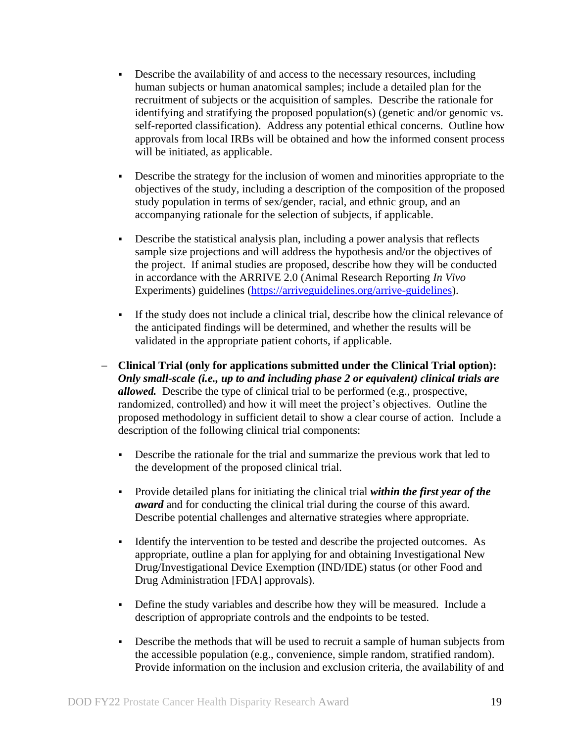- Describe the availability of and access to the necessary resources, including human subjects or human anatomical samples; include a detailed plan for the recruitment of subjects or the acquisition of samples. Describe the rationale for identifying and stratifying the proposed population(s) (genetic and/or genomic vs. self-reported classification). Address any potential ethical concerns. Outline how approvals from local IRBs will be obtained and how the informed consent process will be initiated, as applicable.
- Describe the strategy for the inclusion of women and minorities appropriate to the objectives of the study, including a description of the composition of the proposed study population in terms of sex/gender, racial, and ethnic group, and an accompanying rationale for the selection of subjects, if applicable.
- Describe the statistical analysis plan, including a power analysis that reflects sample size projections and will address the hypothesis and/or the objectives of the project. If animal studies are proposed, describe how they will be conducted in accordance with the ARRIVE 2.0 (Animal Research Reporting *In Vivo* Experiments) guidelines [\(https://arriveguidelines.org/arrive-guidelines\)](https://arriveguidelines.org/arrive-guidelines).
- If the study does not include a clinical trial, describe how the clinical relevance of the anticipated findings will be determined, and whether the results will be validated in the appropriate patient cohorts, if applicable.
- **Clinical Trial (only for applications submitted under the Clinical Trial option):**  *Only small-scale (i.e., up to and including phase 2 or equivalent) clinical trials are allowed.* Describe the type of clinical trial to be performed (e.g., prospective, randomized, controlled) and how it will meet the project's objectives. Outline the proposed methodology in sufficient detail to show a clear course of action. Include a description of the following clinical trial components:
	- Describe the rationale for the trial and summarize the previous work that led to the development of the proposed clinical trial.
	- Provide detailed plans for initiating the clinical trial *within the first year of the award* and for conducting the clinical trial during the course of this award. Describe potential challenges and alternative strategies where appropriate.
	- Identify the intervention to be tested and describe the projected outcomes. As appropriate, outline a plan for applying for and obtaining Investigational New Drug/Investigational Device Exemption (IND/IDE) status (or other Food and Drug Administration [FDA] approvals).
	- Define the study variables and describe how they will be measured. Include a description of appropriate controls and the endpoints to be tested.
	- Describe the methods that will be used to recruit a sample of human subjects from the accessible population (e.g., convenience, simple random, stratified random). Provide information on the inclusion and exclusion criteria, the availability of and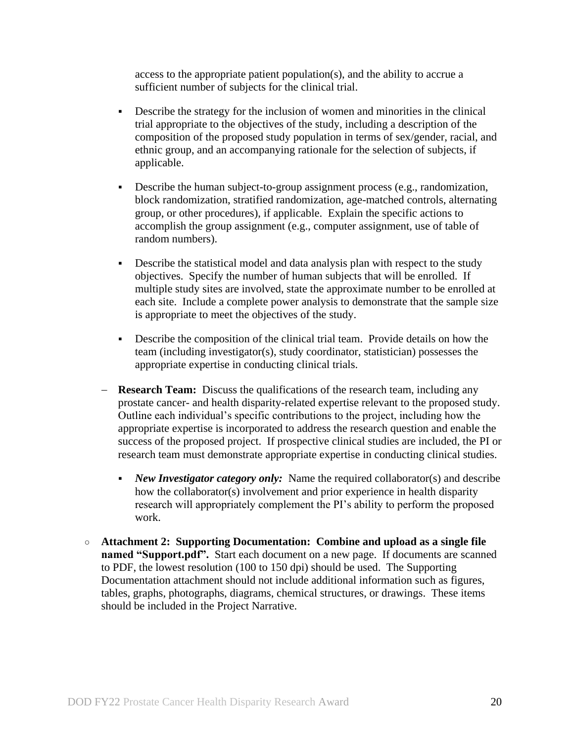access to the appropriate patient population(s), and the ability to accrue a sufficient number of subjects for the clinical trial.

- Describe the strategy for the inclusion of women and minorities in the clinical trial appropriate to the objectives of the study, including a description of the composition of the proposed study population in terms of sex/gender, racial, and ethnic group, and an accompanying rationale for the selection of subjects, if applicable.
- Describe the human subject-to-group assignment process (e.g., randomization, block randomization, stratified randomization, age-matched controls, alternating group, or other procedures), if applicable. Explain the specific actions to accomplish the group assignment (e.g., computer assignment, use of table of random numbers).
- Describe the statistical model and data analysis plan with respect to the study objectives. Specify the number of human subjects that will be enrolled. If multiple study sites are involved, state the approximate number to be enrolled at each site. Include a complete power analysis to demonstrate that the sample size is appropriate to meet the objectives of the study.
- Describe the composition of the clinical trial team. Provide details on how the team (including investigator(s), study coordinator, statistician) possesses the appropriate expertise in conducting clinical trials.
- **Research Team:** Discuss the qualifications of the research team, including any prostate cancer- and health disparity-related expertise relevant to the proposed study. Outline each individual's specific contributions to the project, including how the appropriate expertise is incorporated to address the research question and enable the success of the proposed project. If prospective clinical studies are included, the PI or research team must demonstrate appropriate expertise in conducting clinical studies.
	- *New Investigator category only:* Name the required collaborator(s) and describe how the collaborator(s) involvement and prior experience in health disparity research will appropriately complement the PI's ability to perform the proposed work.
- **Attachment 2: Supporting Documentation: Combine and upload as a single file named "Support.pdf".** Start each document on a new page. If documents are scanned to PDF, the lowest resolution (100 to 150 dpi) should be used. The Supporting Documentation attachment should not include additional information such as figures, tables, graphs, photographs, diagrams, chemical structures, or drawings. These items should be included in the Project Narrative.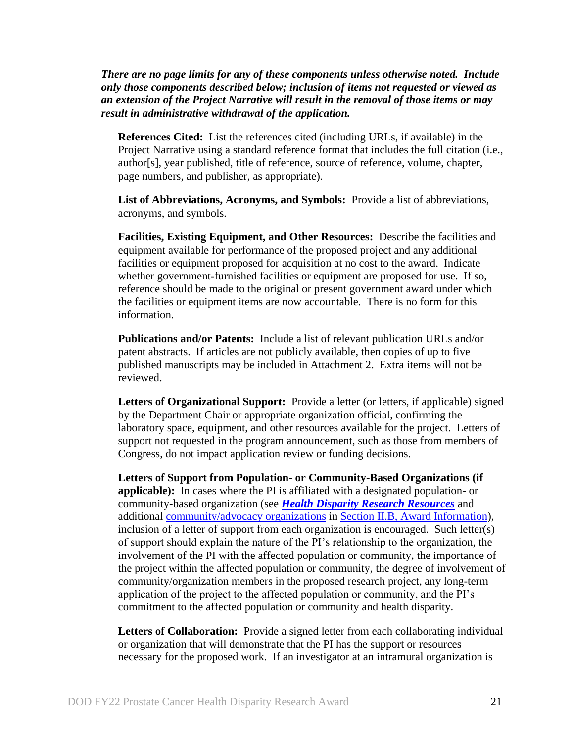*There are no page limits for any of these components unless otherwise noted. Include only those components described below; inclusion of items not requested or viewed as an extension of the Project Narrative will result in the removal of those items or may result in administrative withdrawal of the application.*

**References Cited:** List the references cited (including URLs, if available) in the Project Narrative using a standard reference format that includes the full citation (i.e., author[s], year published, title of reference, source of reference, volume, chapter, page numbers, and publisher, as appropriate).

**List of Abbreviations, Acronyms, and Symbols:** Provide a list of abbreviations, acronyms, and symbols.

**Facilities, Existing Equipment, and Other Resources:** Describe the facilities and equipment available for performance of the proposed project and any additional facilities or equipment proposed for acquisition at no cost to the award. Indicate whether government-furnished facilities or equipment are proposed for use. If so, reference should be made to the original or present government award under which the facilities or equipment items are now accountable. There is no form for this information.

**Publications and/or Patents:** Include a list of relevant publication URLs and/or patent abstracts. If articles are not publicly available, then copies of up to five published manuscripts may be included in Attachment 2. Extra items will not be reviewed.

<span id="page-20-0"></span>**Letters of Organizational Support:** Provide a letter (or letters, if applicable) signed by the Department Chair or appropriate organization official, confirming the laboratory space, equipment, and other resources available for the project. Letters of support not requested in the program announcement, such as those from members of Congress, do not impact application review or funding decisions.

**Letters of Support from Population- or Community-Based Organizations (if applicable):** In cases where the PI is affiliated with a designated population- or community-based organization (see *[Health Disparity Research Resources](#page-8-0)* and additional [community/advocacy organizations](#page-9-2) in Section [II.B, Award Information\)](#page-4-0), inclusion of a letter of support from each organization is encouraged. Such letter(s) of support should explain the nature of the PI's relationship to the organization, the involvement of the PI with the affected population or community, the importance of the project within the affected population or community, the degree of involvement of community/organization members in the proposed research project, any long-term application of the project to the affected population or community, and the PI's commitment to the affected population or community and health disparity.

**Letters of Collaboration:** Provide a signed letter from each collaborating individual or organization that will demonstrate that the PI has the support or resources necessary for the proposed work. If an investigator at an intramural organization is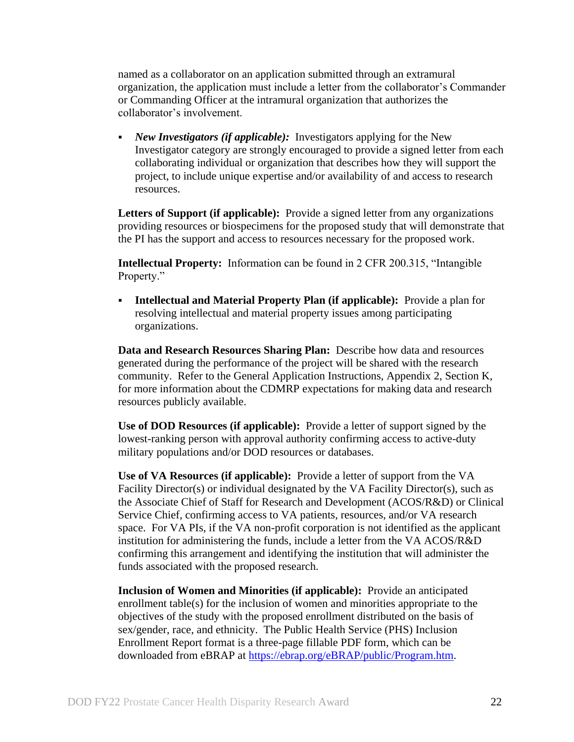named as a collaborator on an application submitted through an extramural organization, the application must include a letter from the collaborator's Commander or Commanding Officer at the intramural organization that authorizes the collaborator's involvement.

 *New Investigators (if applicable):* Investigators applying for the New Investigator category are strongly encouraged to provide a signed letter from each collaborating individual or organization that describes how they will support the project, to include unique expertise and/or availability of and access to research resources.

**Letters of Support (if applicable):** Provide a signed letter from any organizations providing resources or biospecimens for the proposed study that will demonstrate that the PI has the support and access to resources necessary for the proposed work.

**Intellectual Property:** Information can be found in 2 CFR 200.315, "Intangible Property."

 **Intellectual and Material Property Plan (if applicable):** Provide a plan for resolving intellectual and material property issues among participating organizations.

**Data and Research Resources Sharing Plan:** Describe how data and resources generated during the performance of the project will be shared with the research community. Refer to the General Application Instructions, Appendix 2, Section K, for more information about the CDMRP expectations for making data and research resources publicly available.

**Use of DOD Resources (if applicable):** Provide a letter of support signed by the lowest-ranking person with approval authority confirming access to active-duty military populations and/or DOD resources or databases.

**Use of VA Resources (if applicable):** Provide a letter of support from the VA Facility Director(s) or individual designated by the VA Facility Director(s), such as the Associate Chief of Staff for Research and Development (ACOS/R&D) or Clinical Service Chief, confirming access to VA patients, resources, and/or VA research space. For VA PIs, if the VA non-profit corporation is not identified as the applicant institution for administering the funds, include a letter from the VA ACOS/R&D confirming this arrangement and identifying the institution that will administer the funds associated with the proposed research.

**Inclusion of Women and Minorities (if applicable):** Provide an anticipated enrollment table(s) for the inclusion of women and minorities appropriate to the objectives of the study with the proposed enrollment distributed on the basis of sex/gender, race, and ethnicity. The Public Health Service (PHS) Inclusion Enrollment Report format is a three-page fillable PDF form, which can be downloaded from eBRAP at [https://ebrap.org/eBRAP/public/Program.htm.](https://ebrap.org/eBRAP/public/Program.htm)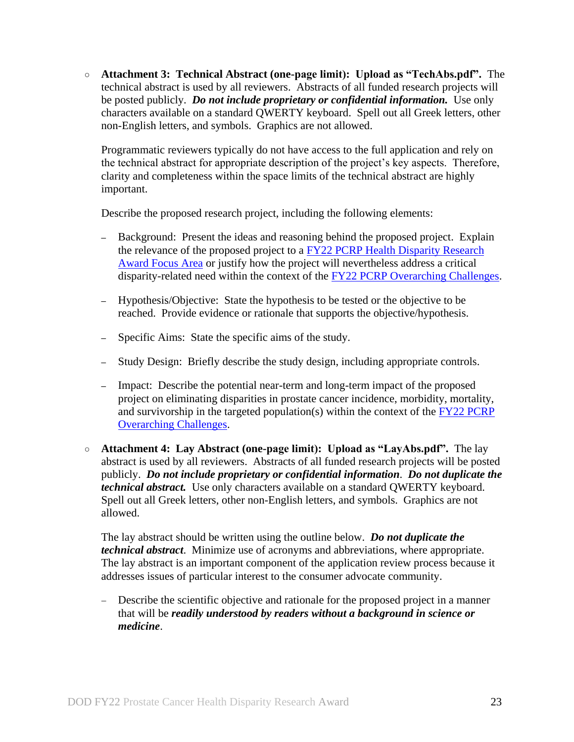○ **Attachment 3: Technical Abstract (one-page limit): Upload as "TechAbs.pdf".** The technical abstract is used by all reviewers. Abstracts of all funded research projects will be posted publicly. *Do not include proprietary or confidential information.* Use only characters available on a standard QWERTY keyboard. Spell out all Greek letters, other non-English letters, and symbols. Graphics are not allowed.

Programmatic reviewers typically do not have access to the full application and rely on the technical abstract for appropriate description of the project's key aspects. Therefore, clarity and completeness within the space limits of the technical abstract are highly important.

Describe the proposed research project, including the following elements:

- **–** Background: Present the ideas and reasoning behind the proposed project. Explain the relevance of the proposed project to a [FY22 PCRP Health Disparity Research](#page-3-1)  [Award Focus Area](#page-3-1) or justify how the project will nevertheless address a critical disparity-related need within the context of the [FY22 PCRP Overarching Challenges.](#page-2-3)
- **–** Hypothesis/Objective: State the hypothesis to be tested or the objective to be reached. Provide evidence or rationale that supports the objective/hypothesis.
- **–** Specific Aims: State the specific aims of the study.
- **–** Study Design: Briefly describe the study design, including appropriate controls.
- **–** Impact: Describe the potential near-term and long-term impact of the proposed project on eliminating disparities in prostate cancer incidence, morbidity, mortality, and survivorship in the targeted population(s) within the context of the  $FY22$  PCRP [Overarching Challenges.](#page-2-3)
- **Attachment 4: Lay Abstract (one-page limit): Upload as "LayAbs.pdf".** The lay abstract is used by all reviewers. Abstracts of all funded research projects will be posted publicly. *Do not include proprietary or confidential information*. *Do not duplicate the technical abstract.* Use only characters available on a standard QWERTY keyboard. Spell out all Greek letters, other non-English letters, and symbols. Graphics are not allowed.

The lay abstract should be written using the outline below. *Do not duplicate the technical abstract*. Minimize use of acronyms and abbreviations, where appropriate. The lay abstract is an important component of the application review process because it addresses issues of particular interest to the consumer advocate community.

 Describe the scientific objective and rationale for the proposed project in a manner that will be *readily understood by readers without a background in science or medicine*.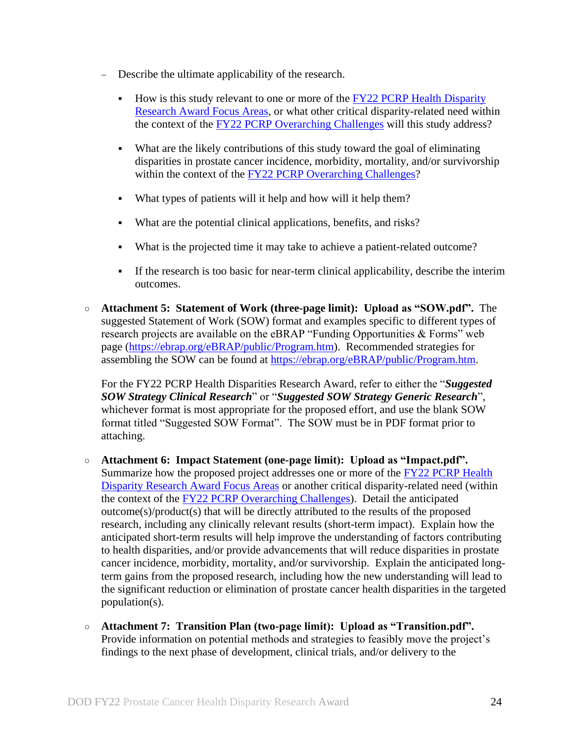- Describe the ultimate applicability of the research.
	- How is this study relevant to one or more of the FY22 PCRP Health Disparity [Research Award Focus Areas,](#page-3-1) or what other critical disparity-related need within the context of the [FY22 PCRP Overarching Challenges](#page-2-3) will this study address?
	- What are the likely contributions of this study toward the goal of eliminating disparities in prostate cancer incidence, morbidity, mortality, and/or survivorship within the context of the [FY22 PCRP Overarching Challenges?](#page-2-3)
	- What types of patients will it help and how will it help them?
	- What are the potential clinical applications, benefits, and risks?
	- What is the projected time it may take to achieve a patient-related outcome?
	- If the research is too basic for near-term clinical applicability, describe the interim outcomes.
- **Attachment 5: Statement of Work (three-page limit): Upload as "SOW.pdf".** The suggested Statement of Work (SOW) format and examples specific to different types of research projects are available on the eBRAP "Funding Opportunities & Forms" web page [\(https://ebrap.org/eBRAP/public/Program.htm\)](https://ebrap.org/eBRAP/public/Program.htm). Recommended strategies for assembling the SOW can be found at [https://ebrap.org/eBRAP/public/Program.htm.](https://ebrap.org/eBRAP/public/Program.htm)

For the FY22 PCRP Health Disparities Research Award, refer to either the "*Suggested SOW Strategy Clinical Research*" or "*Suggested SOW Strategy Generic Research*", whichever format is most appropriate for the proposed effort, and use the blank SOW format titled "Suggested SOW Format". The SOW must be in PDF format prior to attaching.

- **Attachment 6: Impact Statement (one-page limit): Upload as "Impact.pdf".** Summarize how the proposed project addresses one or more of the [FY22 PCRP Health](#page-3-1)  [Disparity Research Award Focus Areas](#page-3-1) or another critical disparity-related need (within the context of the [FY22 PCRP Overarching Challenges\)](#page-2-3). Detail the anticipated outcome(s)/product(s) that will be directly attributed to the results of the proposed research, including any clinically relevant results (short-term impact). Explain how the anticipated short-term results will help improve the understanding of factors contributing to health disparities, and/or provide advancements that will reduce disparities in prostate cancer incidence, morbidity, mortality, and/or survivorship. Explain the anticipated longterm gains from the proposed research, including how the new understanding will lead to the significant reduction or elimination of prostate cancer health disparities in the targeted population(s).
- **Attachment 7: Transition Plan (two-page limit): Upload as "Transition.pdf".**  Provide information on potential methods and strategies to feasibly move the project's findings to the next phase of development, clinical trials, and/or delivery to the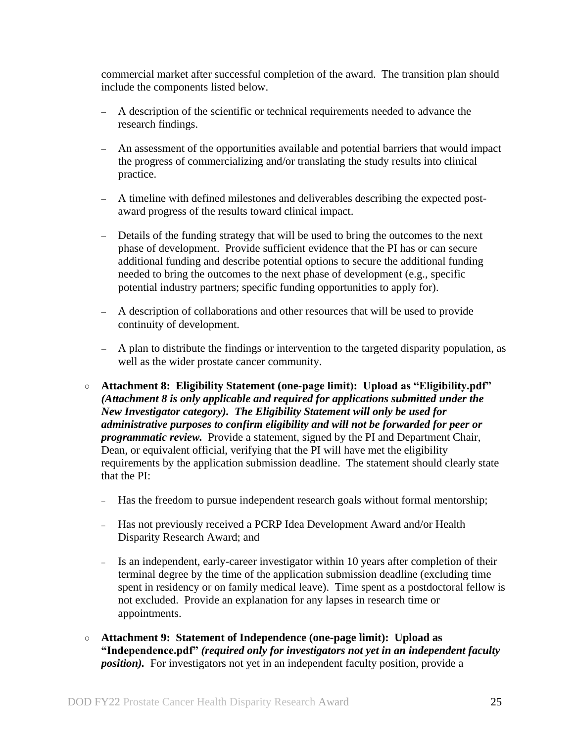commercial market after successful completion of the award. The transition plan should include the components listed below.

- A description of the scientific or technical requirements needed to advance the research findings.
- An assessment of the opportunities available and potential barriers that would impact the progress of commercializing and/or translating the study results into clinical practice.
- A timeline with defined milestones and deliverables describing the expected postaward progress of the results toward clinical impact.
- Details of the funding strategy that will be used to bring the outcomes to the next phase of development. Provide sufficient evidence that the PI has or can secure additional funding and describe potential options to secure the additional funding needed to bring the outcomes to the next phase of development (e.g., specific potential industry partners; specific funding opportunities to apply for).
- A description of collaborations and other resources that will be used to provide continuity of development.
- A plan to distribute the findings or intervention to the targeted disparity population, as well as the wider prostate cancer community.
- <span id="page-24-0"></span>○ **Attachment 8: Eligibility Statement (one-page limit): Upload as "Eligibility.pdf"** *(Attachment 8 is only applicable and required for applications submitted under the New Investigator category). The Eligibility Statement will only be used for administrative purposes to confirm eligibility and will not be forwarded for peer or programmatic review.* Provide a statement, signed by the PI and Department Chair, Dean, or equivalent official, verifying that the PI will have met the eligibility requirements by the application submission deadline. The statement should clearly state that the PI:
	- Has the freedom to pursue independent research goals without formal mentorship;
	- Has not previously received a PCRP Idea Development Award and/or Health Disparity Research Award; and
	- Is an independent, early-career investigator within 10 years after completion of their terminal degree by the time of the application submission deadline (excluding time spent in residency or on family medical leave). Time spent as a postdoctoral fellow is not excluded. Provide an explanation for any lapses in research time or appointments.
- <span id="page-24-1"></span>○ **Attachment 9: Statement of Independence (one-page limit): Upload as "Independence.pdf"** *(required only for investigators not yet in an independent faculty position*). For investigators not yet in an independent faculty position, provide a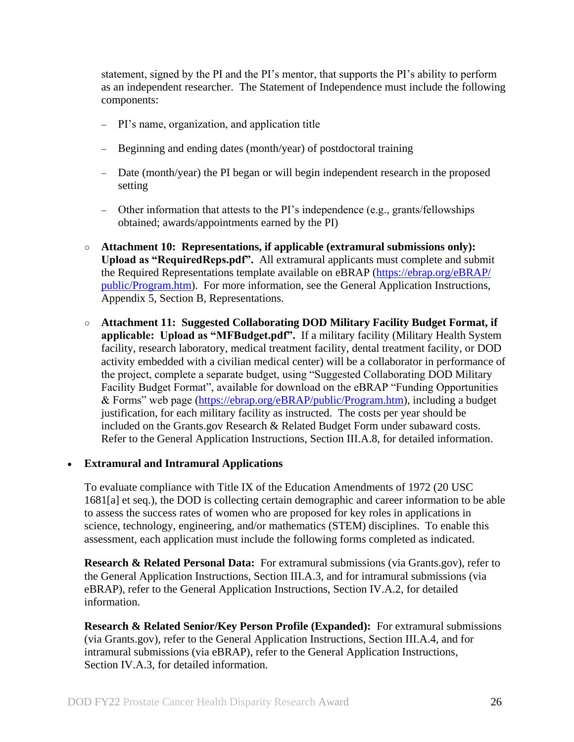statement, signed by the PI and the PI's mentor, that supports the PI's ability to perform as an independent researcher. The Statement of Independence must include the following components:

- PI's name, organization, and application title
- Beginning and ending dates (month/year) of postdoctoral training
- Date (month/year) the PI began or will begin independent research in the proposed setting
- Other information that attests to the PI's independence (e.g., grants/fellowships obtained; awards/appointments earned by the PI)
- **Attachment 10: Representations, if applicable (extramural submissions only): Upload as "RequiredReps.pdf".** All extramural applicants must complete and submit the Required Representations template available on eBRAP [\(https://ebrap.org/eBRAP/](https://ebrap.org/eBRAP/public/Program.htm) [public/Program.htm\)](https://ebrap.org/eBRAP/public/Program.htm). For more information, see the General Application Instructions, Appendix 5, Section B, Representations.
- <span id="page-25-2"></span>○ **Attachment 11: Suggested Collaborating DOD Military Facility Budget Format, if applicable: Upload as "MFBudget.pdf".** If a military facility (Military Health System facility, research laboratory, medical treatment facility, dental treatment facility, or DOD activity embedded with a civilian medical center) will be a collaborator in performance of the project, complete a separate budget, using "Suggested Collaborating DOD Military Facility Budget Format", available for download on the eBRAP "Funding Opportunities & Forms" web page [\(https://ebrap.org/eBRAP/public/Program.htm\)](https://ebrap.org/eBRAP/public/Program.htm), including a budget justification, for each military facility as instructed. The costs per year should be included on the Grants.gov Research & Related Budget Form under subaward costs. Refer to the General Application Instructions, Section III.A.8, for detailed information.

#### **Extramural and Intramural Applications**

To evaluate compliance with Title IX of the Education Amendments of 1972 (20 USC 1681[a] et seq.), the DOD is collecting certain demographic and career information to be able to assess the success rates of women who are proposed for key roles in applications in science, technology, engineering, and/or mathematics (STEM) disciplines. To enable this assessment, each application must include the following forms completed as indicated.

<span id="page-25-0"></span>**Research & Related Personal Data:** For extramural submissions (via Grants.gov), refer to the General Application Instructions, Section III.A.3, and for intramural submissions (via eBRAP), refer to the General Application Instructions, Section IV.A.2, for detailed information.

<span id="page-25-1"></span>**Research & Related Senior/Key Person Profile (Expanded):** For extramural submissions (via Grants.gov), refer to the General Application Instructions, Section III.A.4, and for intramural submissions (via eBRAP), refer to the General Application Instructions, Section IV.A.3, for detailed information.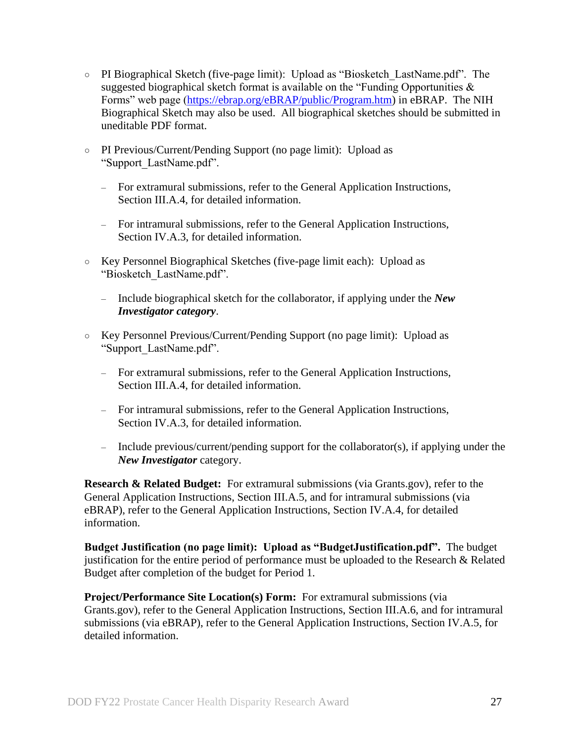- PI Biographical Sketch (five-page limit): Upload as "Biosketch\_LastName.pdf". The suggested biographical sketch format is available on the "Funding Opportunities  $\&$ Forms" web page [\(https://ebrap.org/eBRAP/public/Program.htm\)](https://ebrap.org/eBRAP/public/Program.htm) in eBRAP. The NIH Biographical Sketch may also be used. All biographical sketches should be submitted in uneditable PDF format.
- PI Previous/Current/Pending Support (no page limit): Upload as "Support\_LastName.pdf".
	- For extramural submissions, refer to the General Application Instructions, Section III.A.4, for detailed information.
	- For intramural submissions, refer to the General Application Instructions, Section IV.A.3, for detailed information.
- Key Personnel Biographical Sketches (five-page limit each): Upload as "Biosketch\_LastName.pdf".
	- Include biographical sketch for the collaborator, if applying under the *New Investigator category*.
- Key Personnel Previous/Current/Pending Support (no page limit): Upload as "Support\_LastName.pdf".
	- For extramural submissions, refer to the General Application Instructions, Section III.A.4, for detailed information.
	- For intramural submissions, refer to the General Application Instructions, Section IV.A.3, for detailed information.
	- Include previous/current/pending support for the collaborator(s), if applying under the *New Investigator* category.

<span id="page-26-0"></span>**Research & Related Budget:** For extramural submissions (via Grants.gov), refer to the General Application Instructions, Section III.A.5, and for intramural submissions (via eBRAP), refer to the General Application Instructions, Section IV.A.4, for detailed information.

**Budget Justification (no page limit): Upload as "BudgetJustification.pdf".** The budget justification for the entire period of performance must be uploaded to the Research & Related Budget after completion of the budget for Period 1.

<span id="page-26-1"></span>**Project/Performance Site Location(s) Form:** For extramural submissions (via Grants.gov), refer to the General Application Instructions, Section III.A.6, and for intramural submissions (via eBRAP), refer to the General Application Instructions, Section IV.A.5, for detailed information.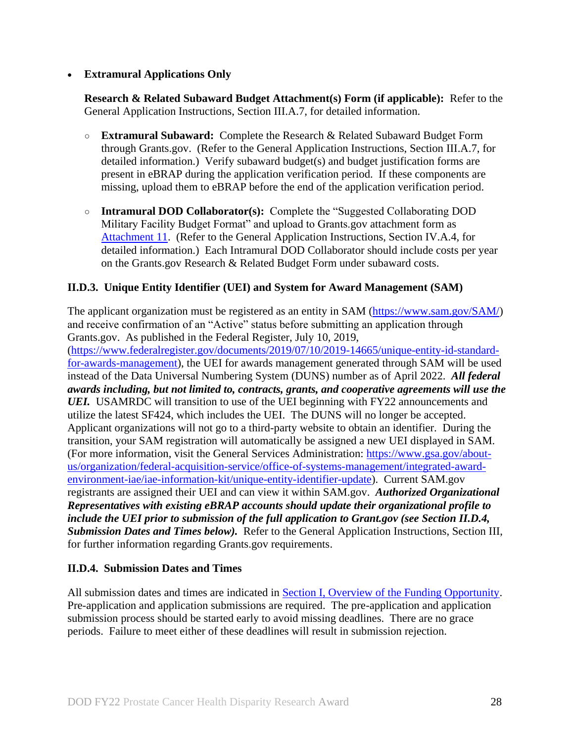## **Extramural Applications Only**

<span id="page-27-2"></span>**Research & Related Subaward Budget Attachment(s) Form (if applicable):** Refer to the General Application Instructions, Section III.A.7, for detailed information.

- **Extramural Subaward:** Complete the Research & Related Subaward Budget Form through Grants.gov. (Refer to the General Application Instructions, Section III.A.7, for detailed information.) Verify subaward budget(s) and budget justification forms are present in eBRAP during the application verification period. If these components are missing, upload them to eBRAP before the end of the application verification period.
- **Intramural DOD Collaborator(s):** Complete the "Suggested Collaborating DOD Military Facility Budget Format" and upload to Grants.gov attachment form as [Attachment 11.](#page-25-2) (Refer to the General Application Instructions, Section IV.A.4, for detailed information.) Each Intramural DOD Collaborator should include costs per year on the Grants.gov Research & Related Budget Form under subaward costs.

## <span id="page-27-0"></span>**II.D.3. Unique Entity Identifier (UEI) and System for Award Management (SAM)**

The applicant organization must be registered as an entity in SAM [\(https://www.sam.gov/SAM/\)](https://www.sam.gov/SAM/) and receive confirmation of an "Active" status before submitting an application through Grants.gov. As published in the Federal Register, July 10, 2019,

[\(https://www.federalregister.gov/documents/2019/07/10/2019-14665/unique-entity-id-standard](https://www.federalregister.gov/documents/2019/07/10/2019-14665/unique-entity-id-standard-for-awards-management)[for-awards-management\)](https://www.federalregister.gov/documents/2019/07/10/2019-14665/unique-entity-id-standard-for-awards-management), the UEI for awards management generated through SAM will be used instead of the Data Universal Numbering System (DUNS) number as of April 2022. *All federal awards including, but not limited to, contracts, grants, and cooperative agreements will use the UEI.* USAMRDC will transition to use of the UEI beginning with FY22 announcements and utilize the latest SF424, which includes the UEI. The DUNS will no longer be accepted. Applicant organizations will not go to a third-party website to obtain an identifier. During the transition, your SAM registration will automatically be assigned a new UEI displayed in SAM. (For more information, visit the General Services Administration: [https://www.gsa.gov/about](https://www.gsa.gov/about-us/organization/federal-acquisition-service/office-of-systems-management/integrated-award-environment-iae/iae-information-kit/unique-entity-identifier-update)[us/organization/federal-acquisition-service/office-of-systems-management/integrated-award](https://www.gsa.gov/about-us/organization/federal-acquisition-service/office-of-systems-management/integrated-award-environment-iae/iae-information-kit/unique-entity-identifier-update)[environment-iae/iae-information-kit/unique-entity-identifier-update\)](https://www.gsa.gov/about-us/organization/federal-acquisition-service/office-of-systems-management/integrated-award-environment-iae/iae-information-kit/unique-entity-identifier-update). Current SAM.gov registrants are assigned their UEI and can view it within SAM.gov. *Authorized Organizational Representatives with existing eBRAP accounts should update their organizational profile to include the UEI prior to submission of the full application to Grant.gov (see Section II.D.4, Submission Dates and Times below).* Refer to the General Application Instructions, Section III, for further information regarding Grants.gov requirements.

## <span id="page-27-1"></span>**II.D.4. Submission Dates and Times**

All submission dates and times are indicated in [Section I, Overview of the Funding Opportunity.](#page-0-1) Pre-application and application submissions are required. The pre-application and application submission process should be started early to avoid missing deadlines. There are no grace periods. Failure to meet either of these deadlines will result in submission rejection.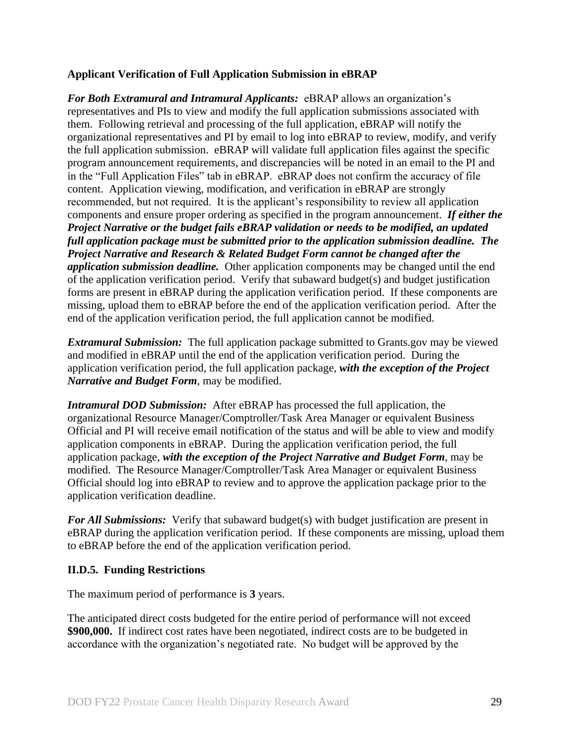### <span id="page-28-1"></span>**Applicant Verification of Full Application Submission in eBRAP**

*For Both Extramural and Intramural Applicants:* eBRAP allows an organization's representatives and PIs to view and modify the full application submissions associated with them. Following retrieval and processing of the full application, eBRAP will notify the organizational representatives and PI by email to log into eBRAP to review, modify, and verify the full application submission. eBRAP will validate full application files against the specific program announcement requirements, and discrepancies will be noted in an email to the PI and in the "Full Application Files" tab in eBRAP. eBRAP does not confirm the accuracy of file content. Application viewing, modification, and verification in eBRAP are strongly recommended, but not required. It is the applicant's responsibility to review all application components and ensure proper ordering as specified in the program announcement. *If either the Project Narrative or the budget fails eBRAP validation or needs to be modified, an updated full application package must be submitted prior to the application submission deadline. The Project Narrative and Research & Related Budget Form cannot be changed after the application submission deadline.* Other application components may be changed until the end of the [application verification period.](#page-0-0) Verify that subaward budget(s) and budget justification forms are present in eBRAP during the application verification period. If these components are missing, upload them to eBRAP before the end of the application verification period. After the end of the application verification period, the full application cannot be modified.

*Extramural Submission:* The full application package submitted to Grants.gov may be viewed and modified in eBRAP until the end of the application verification period. During the application verification period, the full application package, *with the exception of the Project Narrative and Budget Form,* may be modified.

*Intramural DOD Submission:* After eBRAP has processed the full application, the organizational Resource Manager/Comptroller/Task Area Manager or equivalent Business Official and PI will receive email notification of the status and will be able to view and modify application components in eBRAP. During the application verification period, the full application package, *with the exception of the Project Narrative and Budget Form*, may be modified. The Resource Manager/Comptroller/Task Area Manager or equivalent Business Official should log into eBRAP to review and to approve the application package prior to the application verification deadline.

*For All Submissions:* Verify that subaward budget(s) with budget justification are present in eBRAP during the application verification period. If these components are missing, upload them to eBRAP before the end of the application verification period.

## <span id="page-28-0"></span>**II.D.5. Funding Restrictions**

The maximum period of performance is **3** years.

The anticipated direct costs budgeted for the entire period of performance will not exceed **\$900,000.** If indirect cost rates have been negotiated, indirect costs are to be budgeted in accordance with the organization's negotiated rate. No budget will be approved by the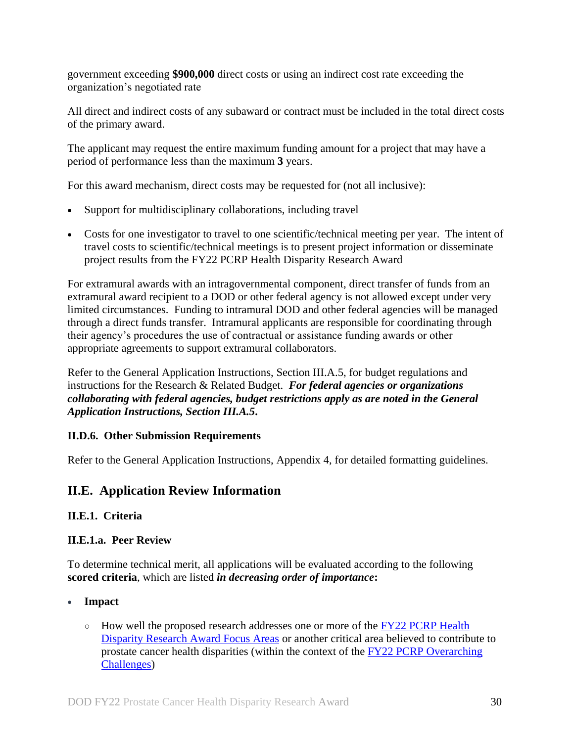government exceeding **\$900,000** direct costs or using an indirect cost rate exceeding the organization's negotiated rate

All direct and indirect costs of any subaward or contract must be included in the total direct costs of the primary award.

The applicant may request the entire maximum funding amount for a project that may have a period of performance less than the maximum **3** years.

For this award mechanism, direct costs may be requested for (not all inclusive):

- Support for multidisciplinary collaborations, including travel
- Costs for one investigator to travel to one scientific/technical meeting per year. The intent of travel costs to scientific/technical meetings is to present project information or disseminate project results from the FY22 PCRP Health Disparity Research Award

For extramural awards with an intragovernmental component, direct transfer of funds from an extramural award recipient to a DOD or other federal agency is not allowed except under very limited circumstances. Funding to intramural DOD and other federal agencies will be managed through a direct funds transfer. Intramural applicants are responsible for coordinating through their agency's procedures the use of contractual or assistance funding awards or other appropriate agreements to support extramural collaborators.

Refer to the General Application Instructions, Section III.A.5, for budget regulations and instructions for the Research & Related Budget. *For federal agencies or organizations collaborating with federal agencies, budget restrictions apply as are noted in the General Application Instructions, Section III.A.5***.**

#### <span id="page-29-0"></span>**II.D.6. Other Submission Requirements**

Refer to the General Application Instructions, Appendix 4, for detailed formatting guidelines.

## <span id="page-29-1"></span>**II.E. Application Review Information**

## <span id="page-29-2"></span>**II.E.1. Criteria**

## <span id="page-29-3"></span>**II.E.1.a. Peer Review**

To determine technical merit, all applications will be evaluated according to the following **scored criteria**, which are listed *in decreasing order of importance***:**

## **Impact**

○ How well the proposed research addresses one or more of the FY22 PCRP Health [Disparity Research Award Focus Areas](#page-3-1) or another critical area believed to contribute to prostate cancer health disparities (within the context of the [FY22 PCRP Overarching](#page-2-3)  [Challenges\)](#page-2-3)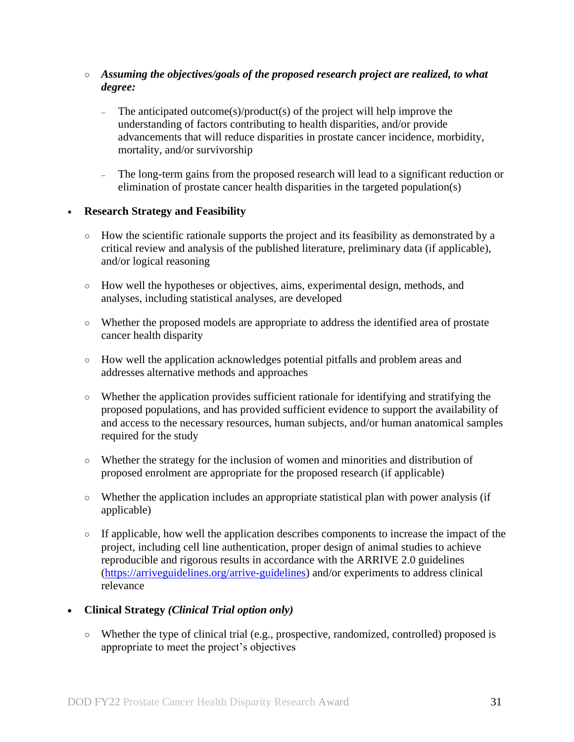- *Assuming the objectives/goals of the proposed research project are realized, to what degree:*
	- The anticipated outcome(s)/product(s) of the project will help improve the understanding of factors contributing to health disparities, and/or provide advancements that will reduce disparities in prostate cancer incidence, morbidity, mortality, and/or survivorship
	- The long-term gains from the proposed research will lead to a significant reduction or elimination of prostate cancer health disparities in the targeted population(s)

#### **Research Strategy and Feasibility**

- How the scientific rationale supports the project and its feasibility as demonstrated by a critical review and analysis of the published literature, preliminary data (if applicable), and/or logical reasoning
- How well the hypotheses or objectives, aims, experimental design, methods, and analyses, including statistical analyses, are developed
- Whether the proposed models are appropriate to address the identified area of prostate cancer health disparity
- How well the application acknowledges potential pitfalls and problem areas and addresses alternative methods and approaches
- Whether the application provides sufficient rationale for identifying and stratifying the proposed populations, and has provided sufficient evidence to support the availability of and access to the necessary resources, human subjects, and/or human anatomical samples required for the study
- Whether the strategy for the inclusion of women and minorities and distribution of proposed enrolment are appropriate for the proposed research (if applicable)
- $\circ$  Whether the application includes an appropriate statistical plan with power analysis (if applicable)
- If applicable, how well the application describes components to increase the impact of the project, including cell line authentication, proper design of animal studies to achieve reproducible and rigorous results in accordance with the ARRIVE 2.0 guidelines [\(https://arriveguidelines.org/arrive-guidelines\)](https://arriveguidelines.org/arrive-guidelines) and/or experiments to address clinical relevance

## **Clinical Strategy** *(Clinical Trial option only)*

○ Whether the type of clinical trial (e.g., prospective, randomized, controlled) proposed is appropriate to meet the project's objectives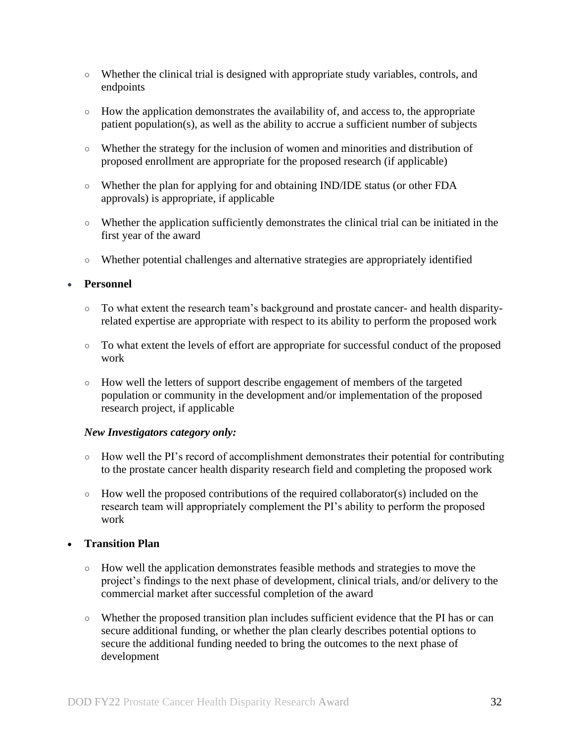- Whether the clinical trial is designed with appropriate study variables, controls, and endpoints
- How the application demonstrates the availability of, and access to, the appropriate patient population(s), as well as the ability to accrue a sufficient number of subjects
- Whether the strategy for the inclusion of women and minorities and distribution of proposed enrollment are appropriate for the proposed research (if applicable)
- Whether the plan for applying for and obtaining IND/IDE status (or other FDA approvals) is appropriate, if applicable
- Whether the application sufficiently demonstrates the clinical trial can be initiated in the first year of the award
- Whether potential challenges and alternative strategies are appropriately identified

#### **Personnel**

- To what extent the research team's background and prostate cancer- and health disparityrelated expertise are appropriate with respect to its ability to perform the proposed work
- To what extent the levels of effort are appropriate for successful conduct of the proposed work
- How well the letters of support describe engagement of members of the targeted population or community in the development and/or implementation of the proposed research project, if applicable

#### *New Investigators category only:*

- How well the PI's record of accomplishment demonstrates their potential for contributing to the prostate cancer health disparity research field and completing the proposed work
- $\circ$  How well the proposed contributions of the required collaborator(s) included on the research team will appropriately complement the PI's ability to perform the proposed work

## **Transition Plan**

- How well the application demonstrates feasible methods and strategies to move the project's findings to the next phase of development, clinical trials, and/or delivery to the commercial market after successful completion of the award
- Whether the proposed transition plan includes sufficient evidence that the PI has or can secure additional funding, or whether the plan clearly describes potential options to secure the additional funding needed to bring the outcomes to the next phase of development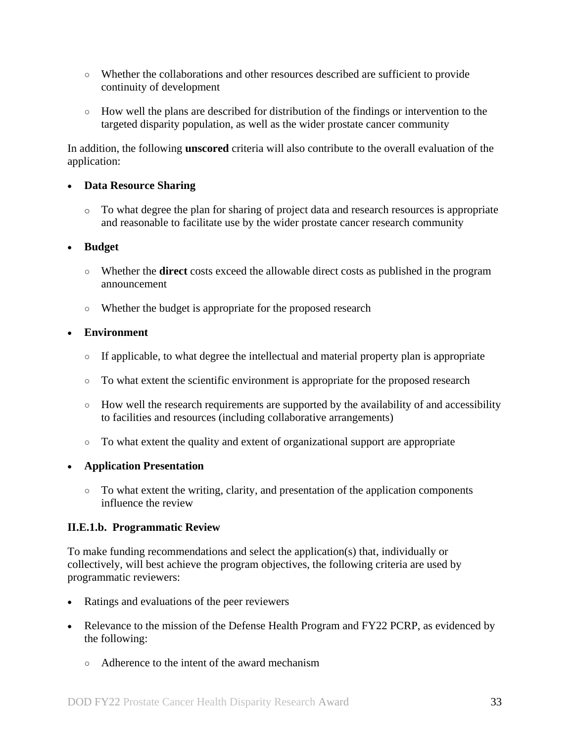- Whether the collaborations and other resources described are sufficient to provide continuity of development
- How well the plans are described for distribution of the findings or intervention to the targeted disparity population, as well as the wider prostate cancer community

In addition, the following **unscored** criteria will also contribute to the overall evaluation of the application:

#### **Data Resource Sharing**

o To what degree the plan for sharing of project data and research resources is appropriate and reasonable to facilitate use by the wider prostate cancer research community

#### **Budget**

- Whether the **direct** costs exceed the allowable direct costs as published in the program announcement
- Whether the budget is appropriate for the proposed research

#### **Environment**

- $\circ$  If applicable, to what degree the intellectual and material property plan is appropriate
- To what extent the scientific environment is appropriate for the proposed research
- How well the research requirements are supported by the availability of and accessibility to facilities and resources (including collaborative arrangements)
- To what extent the quality and extent of organizational support are appropriate

## **Application Presentation**

○ To what extent the writing, clarity, and presentation of the application components influence the review

## <span id="page-32-0"></span>**II.E.1.b. Programmatic Review**

To make funding recommendations and select the application(s) that, individually or collectively, will best achieve the program objectives, the following criteria are used by programmatic reviewers:

- Ratings and evaluations of the peer reviewers
- Relevance to the mission of the Defense Health Program and FY22 PCRP, as evidenced by the following:
	- Adherence to the intent of the award mechanism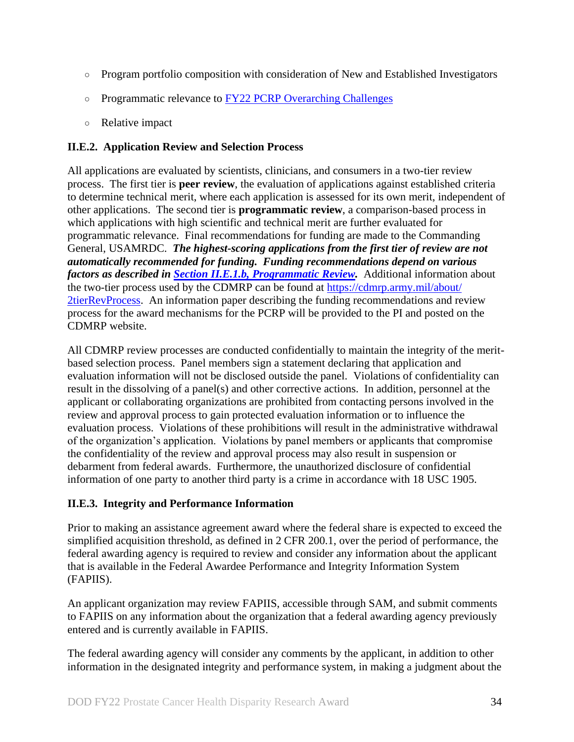- Program portfolio composition with consideration of New and Established Investigators
- Programmatic relevance to FY22 [PCRP Overarching Challenges](#page-2-3)
- Relative impact

## <span id="page-33-0"></span>**II.E.2. Application Review and Selection Process**

All applications are evaluated by scientists, clinicians, and consumers in a two-tier review process. The first tier is **peer review**, the evaluation of applications against established criteria to determine technical merit, where each application is assessed for its own merit, independent of other applications. The second tier is **programmatic review**, a comparison-based process in which applications with high scientific and technical merit are further evaluated for programmatic relevance. Final recommendations for funding are made to the Commanding General, USAMRDC. *The highest-scoring applications from the first tier of review are not automatically recommended for funding. Funding recommendations depend on various factors as described in Section [II.E.1.b, Programmatic Review.](#page-32-0)* Additional information about the two-tier process used by the CDMRP can be found at [https://cdmrp.army.mil/about/](https://cdmrp.army.mil/about/2tierRevProcess) [2tierRevProcess.](https://cdmrp.army.mil/about/2tierRevProcess) An information paper describing the funding recommendations and review process for the award mechanisms for the PCRP will be provided to the PI and posted on the CDMRP website.

All CDMRP review processes are conducted confidentially to maintain the integrity of the meritbased selection process. Panel members sign a statement declaring that application and evaluation information will not be disclosed outside the panel. Violations of confidentiality can result in the dissolving of a panel(s) and other corrective actions. In addition, personnel at the applicant or collaborating organizations are prohibited from contacting persons involved in the review and approval process to gain protected evaluation information or to influence the evaluation process. Violations of these prohibitions will result in the administrative withdrawal of the organization's application. Violations by panel members or applicants that compromise the confidentiality of the review and approval process may also result in suspension or debarment from federal awards. Furthermore, the unauthorized disclosure of confidential information of one party to another third party is a crime in accordance with 18 USC 1905.

## <span id="page-33-1"></span>**II.E.3. Integrity and Performance Information**

Prior to making an assistance agreement award where the federal share is expected to exceed the simplified acquisition threshold, as defined in 2 CFR 200.1, over the period of performance, the federal awarding agency is required to review and consider any information about the applicant that is available in the Federal Awardee Performance and Integrity Information System (FAPIIS).

An applicant organization may review FAPIIS, accessible through SAM, and submit comments to FAPIIS on any information about the organization that a federal awarding agency previously entered and is currently available in FAPIIS.

The federal awarding agency will consider any comments by the applicant, in addition to other information in the designated integrity and performance system, in making a judgment about the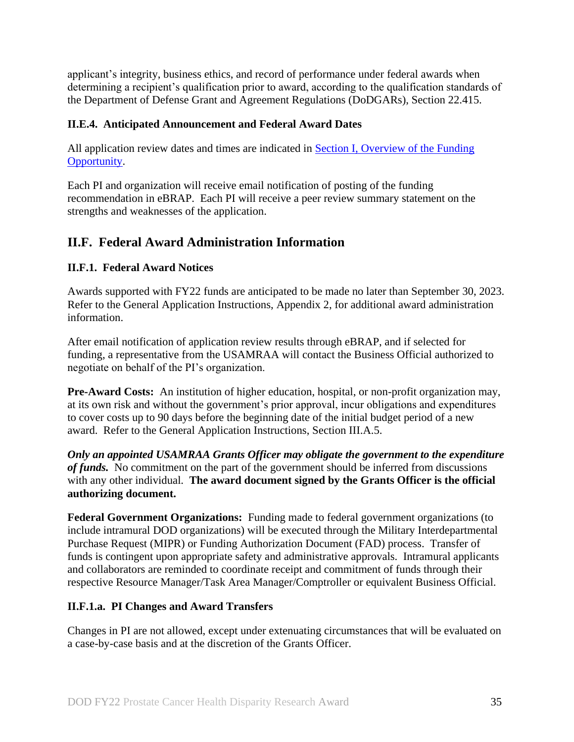applicant's integrity, business ethics, and record of performance under federal awards when determining a recipient's qualification prior to award, according to the qualification standards of the Department of Defense Grant and Agreement Regulations (DoDGARs), Section 22.415.

## <span id="page-34-0"></span>**II.E.4. Anticipated Announcement and Federal Award Dates**

All application review dates and times are indicated in [Section I, Overview of the Funding](#page-0-1)  [Opportunity.](#page-0-1)

Each PI and organization will receive email notification of posting of the funding recommendation in eBRAP. Each PI will receive a peer review summary statement on the strengths and weaknesses of the application.

## <span id="page-34-1"></span>**II.F. Federal Award Administration Information**

## <span id="page-34-2"></span>**II.F.1. Federal Award Notices**

Awards supported with FY22 funds are anticipated to be made no later than September 30, 2023. Refer to the General Application Instructions, Appendix 2, for additional award administration information.

After email notification of application review results through eBRAP, and if selected for funding, a representative from the USAMRAA will contact the Business Official authorized to negotiate on behalf of the PI's organization.

**Pre-Award Costs:** An institution of higher education, hospital, or non-profit organization may, at its own risk and without the government's prior approval, incur obligations and expenditures to cover costs up to 90 days before the beginning date of the initial budget period of a new award. Refer to the General Application Instructions, Section III.A.5.

*Only an appointed USAMRAA Grants Officer may obligate the government to the expenditure of funds.* No commitment on the part of the government should be inferred from discussions with any other individual. **The award document signed by the Grants Officer is the official authorizing document.**

**Federal Government Organizations:** Funding made to federal government organizations (to include intramural DOD organizations) will be executed through the Military Interdepartmental Purchase Request (MIPR) or Funding Authorization Document (FAD) process. Transfer of funds is contingent upon appropriate safety and administrative approvals. Intramural applicants and collaborators are reminded to coordinate receipt and commitment of funds through their respective Resource Manager/Task Area Manager/Comptroller or equivalent Business Official.

## **II.F.1.a. PI Changes and Award Transfers**

Changes in PI are not allowed, except under extenuating circumstances that will be evaluated on a case-by-case basis and at the discretion of the Grants Officer.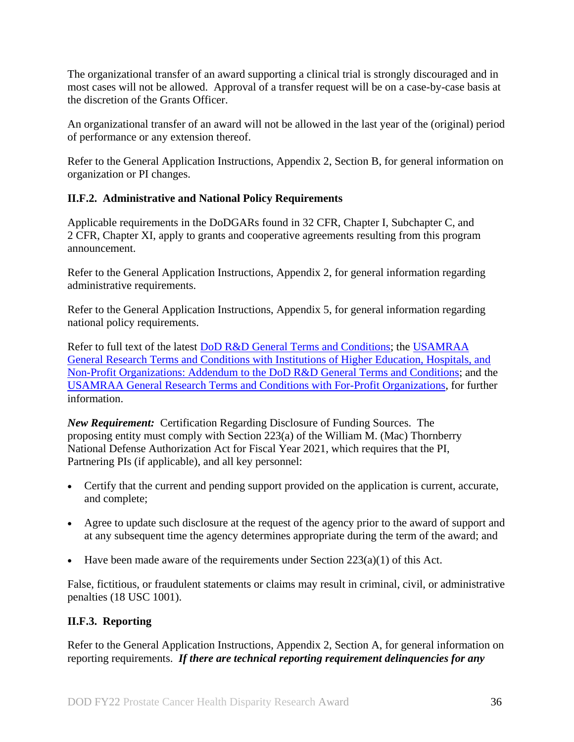The organizational transfer of an award supporting a clinical trial is strongly discouraged and in most cases will not be allowed. Approval of a transfer request will be on a case-by-case basis at the discretion of the Grants Officer.

An organizational transfer of an award will not be allowed in the last year of the (original) period of performance or any extension thereof.

Refer to the General Application Instructions, Appendix 2, Section B, for general information on organization or PI changes.

## <span id="page-35-0"></span>**II.F.2. Administrative and National Policy Requirements**

Applicable requirements in the DoDGARs found in 32 CFR, Chapter I, Subchapter C, and 2 CFR, Chapter XI, apply to grants and cooperative agreements resulting from this program announcement.

Refer to the General Application Instructions, Appendix 2, for general information regarding administrative requirements.

Refer to the General Application Instructions, Appendix 5, for general information regarding national policy requirements.

Refer to full text of the latest DoD [R&D General Terms and Conditions;](https://www.onr.navy.mil/work-with-us/manage-your-award/manage-grant-award/grants-terms-conditions) the [USAMRAA](https://www.usamraa.army.mil/Pages/Resources.aspx)  [General Research Terms and Conditions with Institutions of Higher Education, Hospitals, and](https://www.usamraa.army.mil/Pages/Resources.aspx)  [Non-Profit Organizations: Addendum to the DoD](https://www.usamraa.army.mil/Pages/Resources.aspx) R&D General Terms and Conditions; and the [USAMRAA General Research Terms and Conditions with For-Profit Organizations,](https://www.usamraa.army.mil/Pages/Resources.aspx) for further information.

*New Requirement:* Certification Regarding Disclosure of Funding Sources. The proposing entity must comply with Section 223(a) of the William M. (Mac) Thornberry National Defense Authorization Act for Fiscal Year 2021, which requires that the PI, Partnering PIs (if applicable), and all key personnel:

- Certify that the current and pending support provided on the application is current, accurate, and complete;
- Agree to update such disclosure at the request of the agency prior to the award of support and at any subsequent time the agency determines appropriate during the term of the award; and
- Have been made aware of the requirements under Section  $223(a)(1)$  of this Act.

False, fictitious, or fraudulent statements or claims may result in criminal, civil, or administrative penalties (18 USC 1001).

## <span id="page-35-1"></span>**II.F.3. Reporting**

Refer to the General Application Instructions, Appendix 2, Section A, for general information on reporting requirements. *If there are technical reporting requirement delinquencies for any*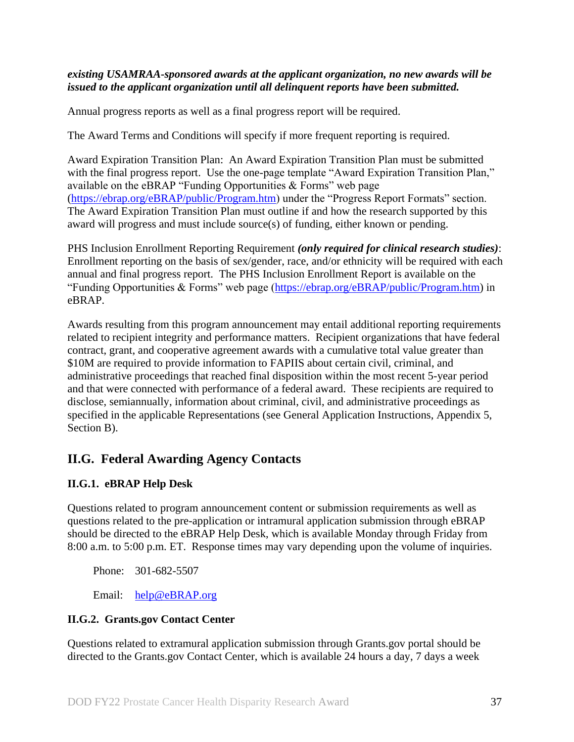#### *existing USAMRAA-sponsored awards at the applicant organization, no new awards will be issued to the applicant organization until all delinquent reports have been submitted.*

Annual progress reports as well as a final progress report will be required.

The Award Terms and Conditions will specify if more frequent reporting is required.

Award Expiration Transition Plan: An Award Expiration Transition Plan must be submitted with the final progress report. Use the one-page template "Award Expiration Transition Plan," available on the eBRAP "Funding Opportunities & Forms" web page [\(https://ebrap.org/eBRAP/public/Program.htm\)](https://ebrap.org/eBRAP/public/Program.htm) under the "Progress Report Formats" section. The Award Expiration Transition Plan must outline if and how the research supported by this award will progress and must include source(s) of funding, either known or pending.

PHS Inclusion Enrollment Reporting Requirement *(only required for clinical research studies)*: Enrollment reporting on the basis of sex/gender, race, and/or ethnicity will be required with each annual and final progress report. The PHS Inclusion Enrollment Report is available on the "Funding Opportunities & Forms" web page [\(https://ebrap.org/eBRAP/public/Program.htm\)](https://ebrap.org/eBRAP/public/Program.htm) in eBRAP.

Awards resulting from this program announcement may entail additional reporting requirements related to recipient integrity and performance matters. Recipient organizations that have federal contract, grant, and cooperative agreement awards with a cumulative total value greater than \$10M are required to provide information to FAPIIS about certain civil, criminal, and administrative proceedings that reached final disposition within the most recent 5-year period and that were connected with performance of a federal award. These recipients are required to disclose, semiannually, information about criminal, civil, and administrative proceedings as specified in the applicable Representations (see General Application Instructions, Appendix 5, Section B).

## <span id="page-36-0"></span>**II.G. Federal Awarding Agency Contacts**

## <span id="page-36-1"></span>**II.G.1. eBRAP Help Desk**

Questions related to program announcement content or submission requirements as well as questions related to the pre-application or intramural application submission through eBRAP should be directed to the eBRAP Help Desk, which is available Monday through Friday from 8:00 a.m. to 5:00 p.m. ET. Response times may vary depending upon the volume of inquiries.

Phone: 301-682-5507

Email: [help@eBRAP.org](mailto:help@eBRAP.org)

## <span id="page-36-2"></span>**II.G.2. Grants.gov Contact Center**

Questions related to extramural application submission through Grants.gov portal should be directed to the Grants.gov Contact Center, which is available 24 hours a day, 7 days a week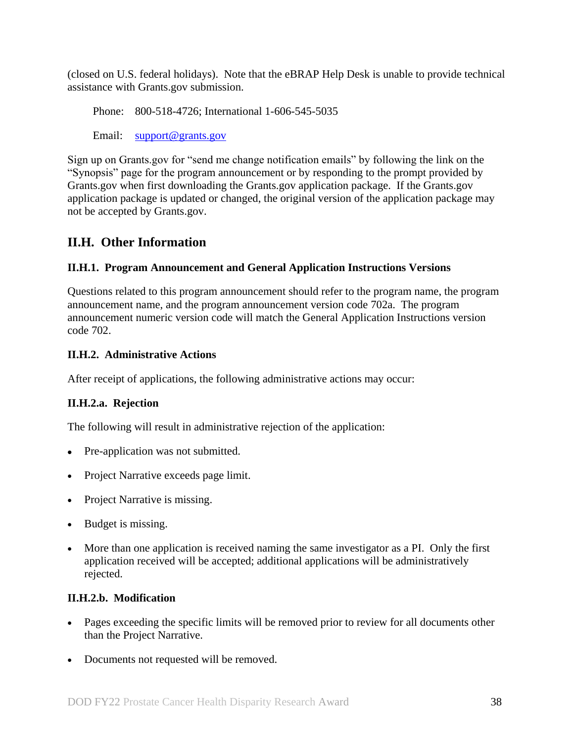(closed on U.S. federal holidays). Note that the eBRAP Help Desk is unable to provide technical assistance with Grants.gov submission.

Phone: 800-518-4726; International 1-606-545-5035

Email: [support@grants.gov](mailto:support@grants.gov)

Sign up on Grants.gov for "send me change notification emails" by following the link on the "Synopsis" page for the program announcement or by responding to the prompt provided by Grants.gov when first downloading the Grants.gov application package. If the Grants.gov application package is updated or changed, the original version of the application package may not be accepted by Grants.gov.

## <span id="page-37-0"></span>**II.H. Other Information**

## <span id="page-37-1"></span>**II.H.1. Program Announcement and General Application Instructions Versions**

Questions related to this program announcement should refer to the program name, the program announcement name, and the program announcement version code 702a. The program announcement numeric version code will match the General Application Instructions version code 702.

## <span id="page-37-2"></span>**II.H.2. Administrative Actions**

After receipt of applications, the following administrative actions may occur:

## **II.H.2.a. Rejection**

The following will result in administrative rejection of the application:

- Pre-application was not submitted.
- Project Narrative exceeds page limit.
- Project Narrative is missing.
- Budget is missing.
- More than one application is received naming the same investigator as a PI. Only the first application received will be accepted; additional applications will be administratively rejected.

## **II.H.2.b. Modification**

- Pages exceeding the specific limits will be removed prior to review for all documents other than the Project Narrative.
- Documents not requested will be removed.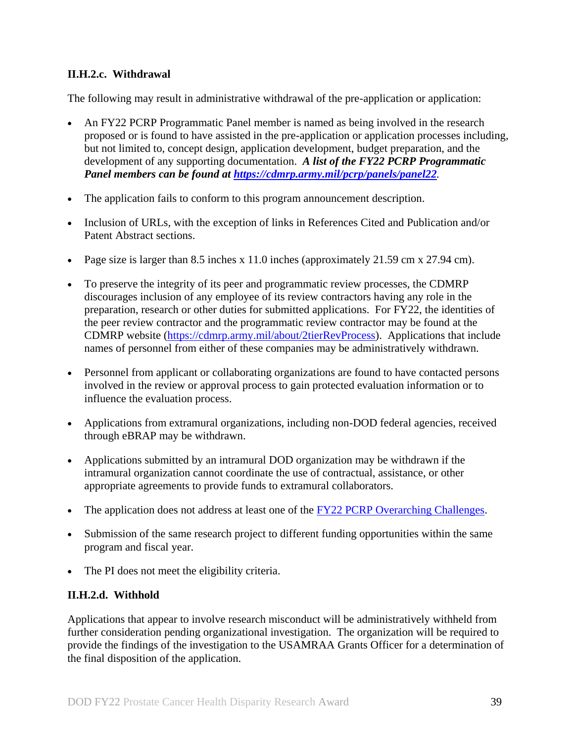## <span id="page-38-0"></span>**II.H.2.c. Withdrawal**

The following may result in administrative withdrawal of the pre-application or application:

- An FY22 PCRP Programmatic Panel member is named as being involved in the research proposed or is found to have assisted in the pre-application or application processes including, but not limited to, concept design, application development, budget preparation, and the development of any supporting documentation. *A list of the FY22 PCRP Programmatic Panel members can be found at<https://cdmrp.army.mil/pcrp/panels/panel22>.*
- The application fails to conform to this program announcement description.
- Inclusion of URLs, with the exception of links in References Cited and Publication and/or Patent Abstract sections.
- Page size is larger than 8.5 inches x 11.0 inches (approximately 21.59 cm x 27.94 cm).
- To preserve the integrity of its peer and programmatic review processes, the CDMRP discourages inclusion of any employee of its review contractors having any role in the preparation, research or other duties for submitted applications. For FY22, the identities of the peer review contractor and the programmatic review contractor may be found at the CDMRP website [\(https://cdmrp.army.mil/about/2tierRevProcess\)](https://cdmrp.army.mil/about/2tierRevProcess). Applications that include names of personnel from either of these companies may be administratively withdrawn.
- Personnel from applicant or collaborating organizations are found to have contacted persons involved in the review or approval process to gain protected evaluation information or to influence the evaluation process.
- Applications from extramural organizations, including non-DOD federal agencies, received through eBRAP may be withdrawn.
- Applications submitted by an intramural DOD organization may be withdrawn if the intramural organization cannot coordinate the use of contractual, assistance, or other appropriate agreements to provide funds to extramural collaborators.
- The application does not address at least one of the [FY22 PCRP Overarching Challenges.](#page-2-3)
- Submission of the same research project to different funding opportunities within the same program and fiscal year.
- The PI does not meet the eligibility criteria.

## **II.H.2.d. Withhold**

Applications that appear to involve research misconduct will be administratively withheld from further consideration pending organizational investigation. The organization will be required to provide the findings of the investigation to the USAMRAA Grants Officer for a determination of the final disposition of the application.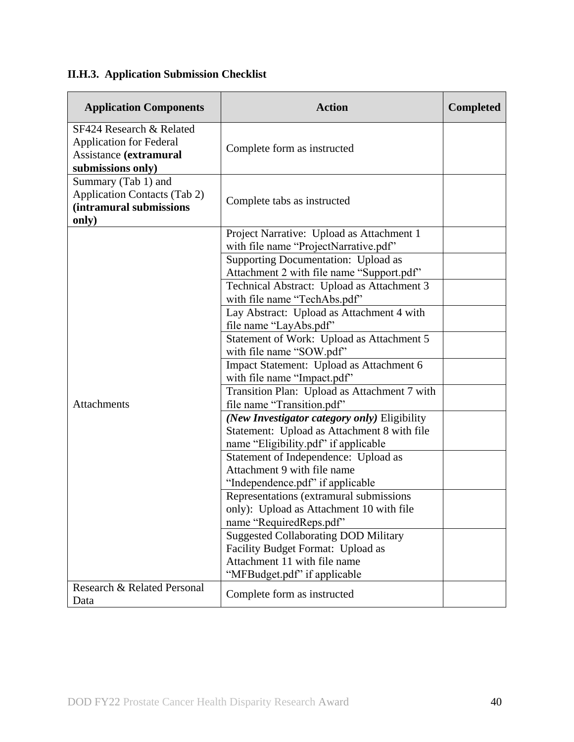# <span id="page-39-0"></span>**II.H.3. Application Submission Checklist**

| <b>Application Components</b>                                                                             | <b>Action</b>                                                                                                                                    | <b>Completed</b> |
|-----------------------------------------------------------------------------------------------------------|--------------------------------------------------------------------------------------------------------------------------------------------------|------------------|
| SF424 Research & Related<br><b>Application for Federal</b><br>Assistance (extramural<br>submissions only) | Complete form as instructed                                                                                                                      |                  |
| Summary (Tab 1) and<br><b>Application Contacts (Tab 2)</b><br>(intramural submissions<br>only)            | Complete tabs as instructed                                                                                                                      |                  |
|                                                                                                           | Project Narrative: Upload as Attachment 1<br>with file name "ProjectNarrative.pdf"                                                               |                  |
|                                                                                                           | Supporting Documentation: Upload as<br>Attachment 2 with file name "Support.pdf"                                                                 |                  |
|                                                                                                           | Technical Abstract: Upload as Attachment 3<br>with file name "TechAbs.pdf"                                                                       |                  |
|                                                                                                           | Lay Abstract: Upload as Attachment 4 with<br>file name "LayAbs.pdf"                                                                              |                  |
|                                                                                                           | Statement of Work: Upload as Attachment 5<br>with file name "SOW.pdf"                                                                            |                  |
|                                                                                                           | Impact Statement: Upload as Attachment 6<br>with file name "Impact.pdf"                                                                          |                  |
| <b>Attachments</b>                                                                                        | Transition Plan: Upload as Attachment 7 with<br>file name "Transition.pdf"                                                                       |                  |
|                                                                                                           | (New Investigator category only) Eligibility<br>Statement: Upload as Attachment 8 with file<br>name "Eligibility.pdf" if applicable              |                  |
|                                                                                                           | Statement of Independence: Upload as<br>Attachment 9 with file name<br>"Independence.pdf" if applicable                                          |                  |
|                                                                                                           | Representations (extramural submissions<br>only): Upload as Attachment 10 with file<br>name "RequiredReps.pdf"                                   |                  |
|                                                                                                           | <b>Suggested Collaborating DOD Military</b><br>Facility Budget Format: Upload as<br>Attachment 11 with file name<br>"MFBudget.pdf" if applicable |                  |
| Research & Related Personal<br>Data                                                                       | Complete form as instructed                                                                                                                      |                  |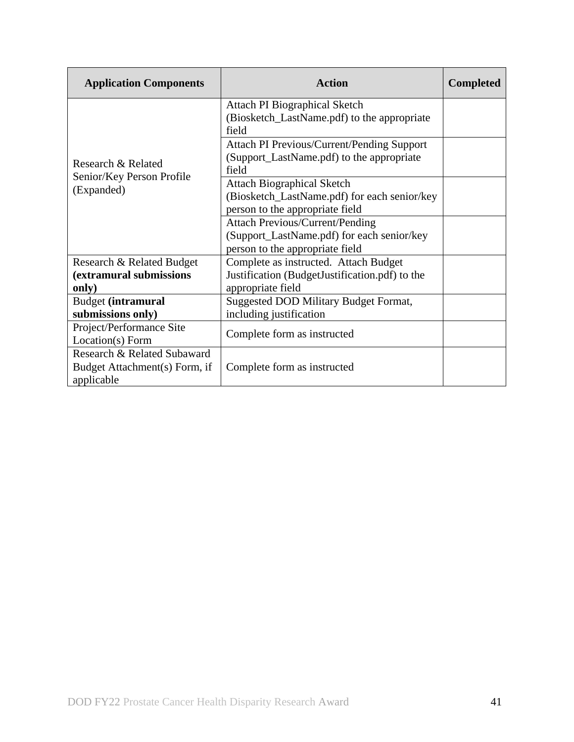| <b>Application Components</b>                                              | <b>Action</b>                                                                                                           | <b>Completed</b> |
|----------------------------------------------------------------------------|-------------------------------------------------------------------------------------------------------------------------|------------------|
| Research & Related<br>Senior/Key Person Profile<br>(Expanded)              | Attach PI Biographical Sketch<br>(Biosketch_LastName.pdf) to the appropriate<br>field                                   |                  |
|                                                                            | Attach PI Previous/Current/Pending Support<br>(Support_LastName.pdf) to the appropriate<br>field                        |                  |
|                                                                            | <b>Attach Biographical Sketch</b><br>(Biosketch_LastName.pdf) for each senior/key<br>person to the appropriate field    |                  |
|                                                                            | <b>Attach Previous/Current/Pending</b><br>(Support_LastName.pdf) for each senior/key<br>person to the appropriate field |                  |
| Research & Related Budget<br>(extramural submissions<br>only)              | Complete as instructed. Attach Budget<br>Justification (BudgetJustification.pdf) to the<br>appropriate field            |                  |
| <b>Budget (intramural</b><br>submissions only)                             | Suggested DOD Military Budget Format,<br>including justification                                                        |                  |
| Project/Performance Site<br>Location(s) Form                               | Complete form as instructed                                                                                             |                  |
| Research & Related Subaward<br>Budget Attachment(s) Form, if<br>applicable | Complete form as instructed                                                                                             |                  |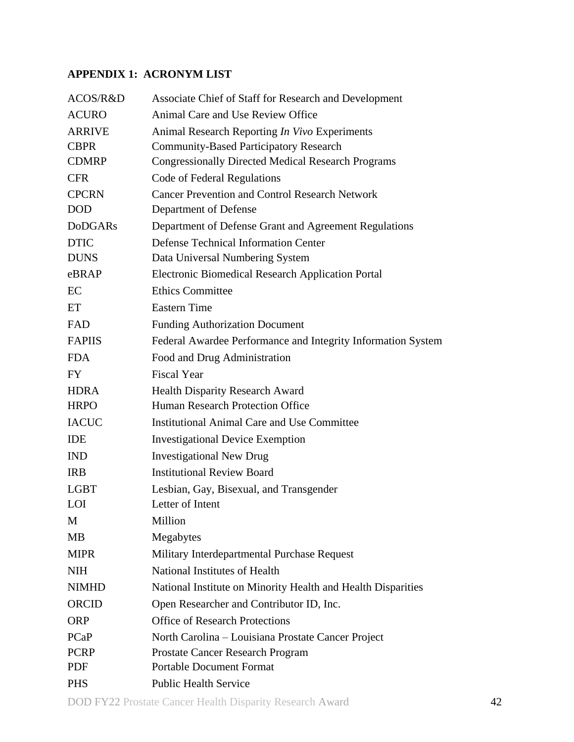## <span id="page-41-0"></span>**APPENDIX 1: ACRONYM LIST**

| ACOS/R&D       | Associate Chief of Staff for Research and Development        |
|----------------|--------------------------------------------------------------|
| <b>ACURO</b>   | Animal Care and Use Review Office                            |
| <b>ARRIVE</b>  | Animal Research Reporting In Vivo Experiments                |
| <b>CBPR</b>    | <b>Community-Based Participatory Research</b>                |
| <b>CDMRP</b>   | <b>Congressionally Directed Medical Research Programs</b>    |
| <b>CFR</b>     | Code of Federal Regulations                                  |
| <b>CPCRN</b>   | <b>Cancer Prevention and Control Research Network</b>        |
| <b>DOD</b>     | Department of Defense                                        |
| <b>DoDGARs</b> | Department of Defense Grant and Agreement Regulations        |
| <b>DTIC</b>    | <b>Defense Technical Information Center</b>                  |
| <b>DUNS</b>    | Data Universal Numbering System                              |
| eBRAP          | Electronic Biomedical Research Application Portal            |
| EC             | <b>Ethics Committee</b>                                      |
| ET             | <b>Eastern Time</b>                                          |
| <b>FAD</b>     | <b>Funding Authorization Document</b>                        |
| <b>FAPIIS</b>  | Federal Awardee Performance and Integrity Information System |
| <b>FDA</b>     | Food and Drug Administration                                 |
| <b>FY</b>      | <b>Fiscal Year</b>                                           |
| <b>HDRA</b>    | <b>Health Disparity Research Award</b>                       |
| <b>HRPO</b>    | <b>Human Research Protection Office</b>                      |
| <b>IACUC</b>   | <b>Institutional Animal Care and Use Committee</b>           |
| <b>IDE</b>     | <b>Investigational Device Exemption</b>                      |
| <b>IND</b>     | <b>Investigational New Drug</b>                              |
| <b>IRB</b>     | <b>Institutional Review Board</b>                            |
| <b>LGBT</b>    | Lesbian, Gay, Bisexual, and Transgender                      |
| <b>LOI</b>     | Letter of Intent                                             |
| M              | Million                                                      |
| <b>MB</b>      | Megabytes                                                    |
| <b>MIPR</b>    | Military Interdepartmental Purchase Request                  |
| <b>NIH</b>     | National Institutes of Health                                |
| <b>NIMHD</b>   | National Institute on Minority Health and Health Disparities |
| ORCID          | Open Researcher and Contributor ID, Inc.                     |
| <b>ORP</b>     | <b>Office of Research Protections</b>                        |
| PCaP           | North Carolina – Louisiana Prostate Cancer Project           |
| <b>PCRP</b>    | Prostate Cancer Research Program                             |
| PDF            | <b>Portable Document Format</b>                              |
| <b>PHS</b>     | <b>Public Health Service</b>                                 |